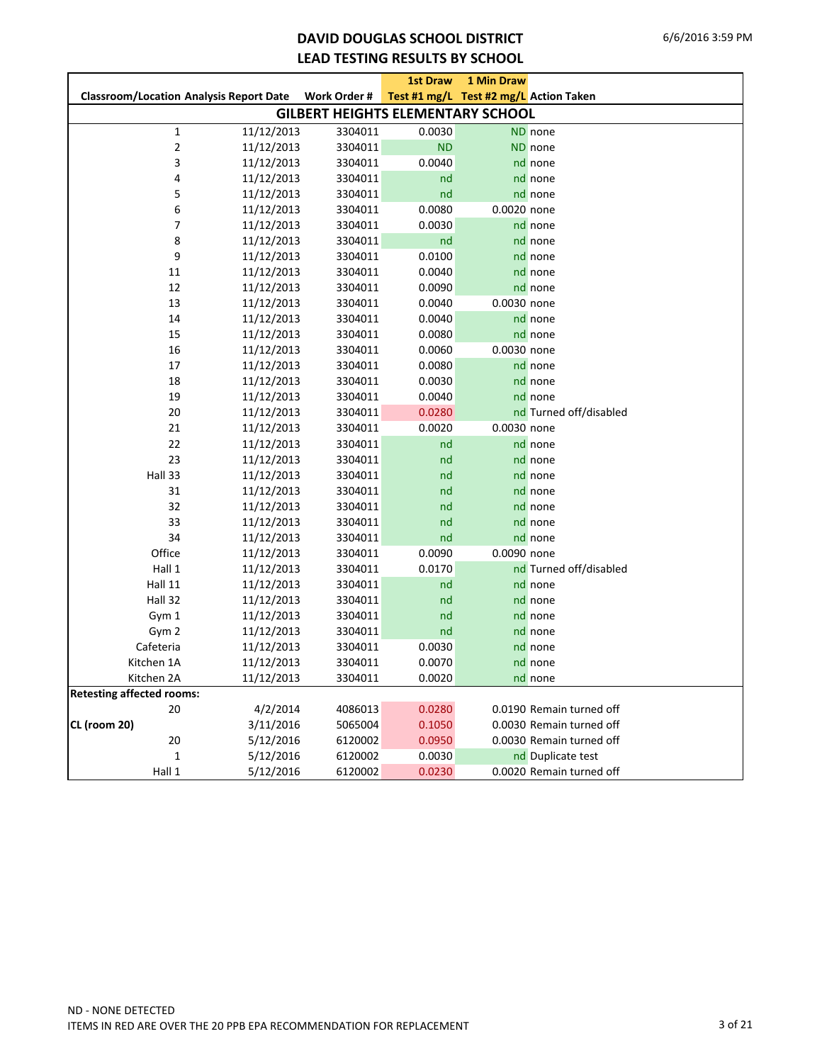## **DAVID DOUGLAS SCHOOL DISTRICT LEAD TESTING RESULTS BY SCHOOL**

|                                                |                                          | <b>1st Draw</b> | 1 Min Draw                             |                          |
|------------------------------------------------|------------------------------------------|-----------------|----------------------------------------|--------------------------|
| <b>Classroom/Location Analysis Report Date</b> | Work Order #                             |                 | Test #1 mg/L Test #2 mg/L Action Taken |                          |
|                                                | <b>GILBERT HEIGHTS ELEMENTARY SCHOOL</b> |                 |                                        |                          |
| 11/12/2013<br>$\mathbf{1}$                     | 3304011                                  | 0.0030          |                                        | ND none                  |
| $\mathbf 2$<br>11/12/2013                      | 3304011                                  | <b>ND</b>       |                                        | ND none                  |
| 3<br>11/12/2013                                | 3304011                                  | 0.0040          |                                        | nd none                  |
| 4<br>11/12/2013                                | 3304011                                  | nd              |                                        | nd none                  |
| 5<br>11/12/2013                                | 3304011                                  | nd              |                                        | nd none                  |
| 6<br>11/12/2013                                | 3304011                                  | 0.0080          | 0.0020 none                            |                          |
| 7<br>11/12/2013                                | 3304011                                  | 0.0030          |                                        | nd none                  |
| 8<br>11/12/2013                                | 3304011                                  | nd              |                                        | nd none                  |
| 9<br>11/12/2013                                | 3304011                                  | 0.0100          |                                        | nd none                  |
| 11<br>11/12/2013                               | 3304011                                  | 0.0040          |                                        | nd none                  |
| 12<br>11/12/2013                               | 3304011                                  | 0.0090          |                                        | nd none                  |
| 13<br>11/12/2013                               | 3304011                                  | 0.0040          | 0.0030 none                            |                          |
| 14<br>11/12/2013                               | 3304011                                  | 0.0040          |                                        | nd none                  |
| 15<br>11/12/2013                               | 3304011                                  | 0.0080          |                                        | nd none                  |
| 16<br>11/12/2013                               | 3304011                                  | 0.0060          | 0.0030 none                            |                          |
| 17<br>11/12/2013                               | 3304011                                  | 0.0080          |                                        | nd none                  |
| 18<br>11/12/2013                               | 3304011                                  | 0.0030          |                                        | nd none                  |
| 19<br>11/12/2013                               | 3304011                                  | 0.0040          |                                        | nd none                  |
| 20<br>11/12/2013                               | 3304011                                  | 0.0280          |                                        | nd Turned off/disabled   |
| 21<br>11/12/2013                               | 3304011                                  | 0.0020          | 0.0030 none                            |                          |
| 22<br>11/12/2013                               | 3304011                                  | nd              |                                        | nd none                  |
| 23<br>11/12/2013                               | 3304011                                  | nd              |                                        | nd none                  |
| Hall 33<br>11/12/2013                          | 3304011                                  | nd              |                                        | nd none                  |
| 31<br>11/12/2013                               | 3304011                                  | nd              |                                        | nd none                  |
| 32<br>11/12/2013                               | 3304011                                  | nd              |                                        | nd none                  |
| 33<br>11/12/2013                               | 3304011                                  | nd              |                                        | nd none                  |
| 34<br>11/12/2013                               | 3304011                                  | nd              |                                        | nd none                  |
| Office<br>11/12/2013                           | 3304011                                  | 0.0090          | 0.0090 none                            |                          |
| Hall 1<br>11/12/2013                           | 3304011                                  | 0.0170          |                                        | nd Turned off/disabled   |
| Hall 11<br>11/12/2013                          | 3304011                                  | nd              |                                        | nd none                  |
| Hall 32<br>11/12/2013                          | 3304011                                  | nd              |                                        | nd none                  |
| Gym 1<br>11/12/2013                            | 3304011                                  | nd              |                                        | nd none                  |
| Gym 2<br>11/12/2013                            | 3304011                                  | nd              |                                        | nd none                  |
| Cafeteria<br>11/12/2013                        | 3304011                                  | 0.0030          |                                        | nd none                  |
| Kitchen 1A<br>11/12/2013                       | 3304011                                  | 0.0070          |                                        | nd none                  |
| 11/12/2013<br>Kitchen 2A                       | 3304011                                  | 0.0020          |                                        | nd none                  |
| <b>Retesting affected rooms:</b>               |                                          |                 |                                        |                          |
| 4/2/2014<br>20                                 | 4086013                                  | 0.0280          |                                        | 0.0190 Remain turned off |
| CL (room 20)<br>3/11/2016                      | 5065004                                  | 0.1050          |                                        | 0.0030 Remain turned off |
| 5/12/2016<br>20                                | 6120002                                  | 0.0950          |                                        | 0.0030 Remain turned off |
| $\mathbf{1}$<br>5/12/2016                      | 6120002                                  | 0.0030          |                                        | nd Duplicate test        |
| 5/12/2016<br>Hall 1                            | 6120002                                  | 0.0230          |                                        | 0.0020 Remain turned off |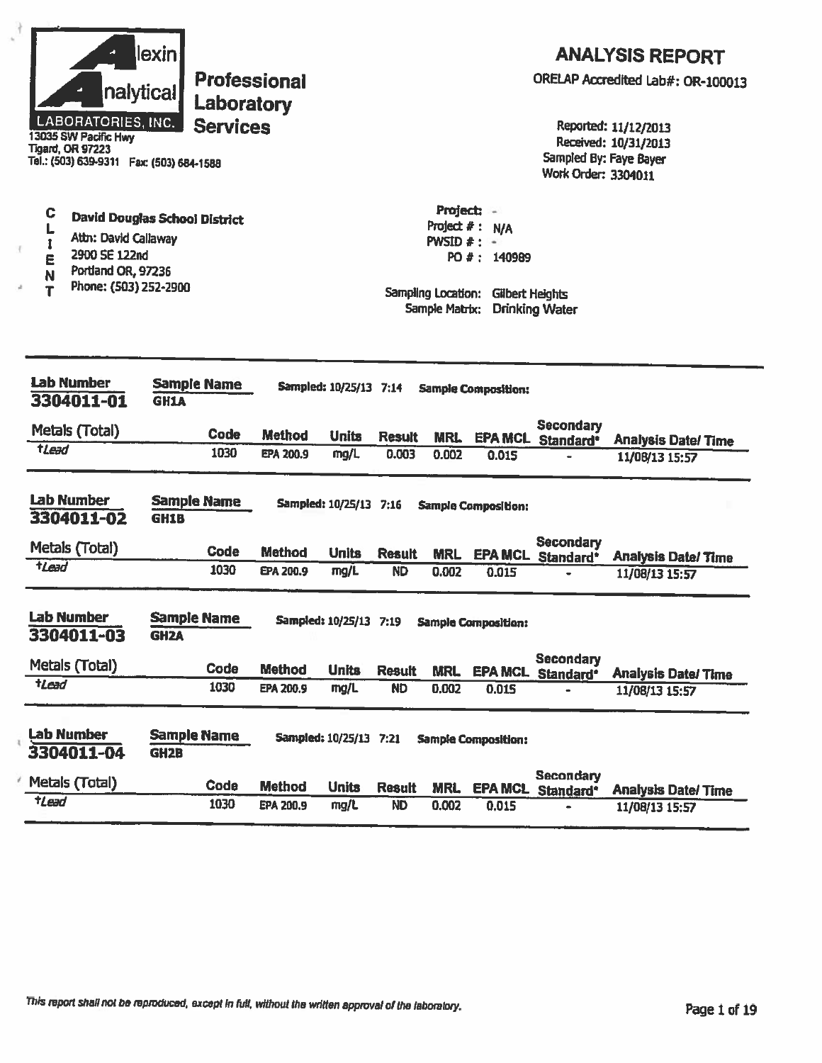| nalytical<br><b>LABORATORIES, INC.</b><br>13035 SW Pacific Hwy<br><b>Tigard, OR 97223</b><br>Tel.: (503) 639-9311  Fax: (503) 684-1588 | lexin<br>Laboratory<br><b>Services</b>    | <b>Professional</b> |                                        |               |                                                                                   |                                                     | Sampled By: Faye Bayer<br>Work Order: 3304011 | <b>ANALYSIS REPORT</b><br>ORELAP Accredited Lab#: OR-100013<br>Reported: 11/12/2013<br>Received: 10/31/2013 |
|----------------------------------------------------------------------------------------------------------------------------------------|-------------------------------------------|---------------------|----------------------------------------|---------------|-----------------------------------------------------------------------------------|-----------------------------------------------------|-----------------------------------------------|-------------------------------------------------------------------------------------------------------------|
| C<br>L<br>Attn: David Callaway<br>2900 SE 122nd<br>E<br>Portland OR, 97236<br>N<br>Phone: (503) 252-2900<br>T                          | David Douglas School District             |                     |                                        |               | Project: -<br>Project $#:$<br>PWSID $#$ :<br>Sampling Location:<br>Sample Matrix: | N/A<br>۰.<br>PO #: 140989<br><b>Gilbert Heights</b> | <b>Drinking Water</b>                         |                                                                                                             |
| <b>Lab Number</b><br>3304011-01                                                                                                        | <b>Sample Name</b><br><b>GH1A</b>         |                     | Sampled: 10/25/13 7:14                 |               |                                                                                   | <b>Sample Composition:</b>                          |                                               |                                                                                                             |
| Metals (Total)                                                                                                                         | Code                                      | <b>Method</b>       | <b>Units</b>                           | <b>Result</b> | MRL                                                                               |                                                     | <b>Secondary</b>                              |                                                                                                             |
| tLead                                                                                                                                  | 1030                                      | EPA 200.9           | mg/L                                   | 0.003         | 0.002                                                                             | 0.015                                               | <b>EPA MCL Standard*</b>                      | <b>Analysis Date/Time</b><br>11/08/13 15:57                                                                 |
| <b>Lab Number</b><br>3304011-02                                                                                                        | <b>Sample Name</b><br><b>GH1B</b>         |                     | Sampled: 10/25/13 7:16                 |               |                                                                                   | <b>Sample Composition:</b>                          |                                               |                                                                                                             |
| Metals (Total)                                                                                                                         | <b>Code</b>                               | <b>Method</b>       | <b>Units</b>                           | Result        | <b>MRL</b>                                                                        | <b>EPA MCL</b>                                      | <b>Secondary</b><br>Standard*                 | <b>Analysis Date/Time</b>                                                                                   |
| tLead                                                                                                                                  | 1030                                      | EPA 200.9           | mg/L                                   | <b>ND</b>     | 0.002                                                                             | 0.015                                               |                                               | 11/08/13 15:57                                                                                              |
| Lab Number<br>3304011-03<br>Metals (Total)                                                                                             | <b>Sample Name</b><br><b>GH2A</b><br>Code | <b>Method</b>       | Sampled: 10/25/13 7:19<br><b>Units</b> | <b>Result</b> | <b>MRL</b>                                                                        | <b>Sample Composition:</b>                          | <b>Secondary</b><br>EPA MCL Standard*         | <b>Analysis Date/Time</b>                                                                                   |
| $t$ <i>Lead</i>                                                                                                                        | 1030                                      | <b>EPA 200.9</b>    | mg/L                                   | <b>ND</b>     | 0.002                                                                             | 0.015                                               |                                               | 11/08/13 15:57                                                                                              |
| <b>Lab Number</b><br>3304011-04                                                                                                        | <b>Sample Name</b><br><b>GH2B</b>         |                     | Sampled: 10/25/13 7:21                 |               |                                                                                   | <b>Sample Composition:</b>                          | <b>Secondary</b>                              |                                                                                                             |
| Metals (Total)                                                                                                                         | Code                                      | <b>Method</b>       | <b>Units</b>                           | <b>Result</b> | <b>MRL</b>                                                                        | <b>EPA MCL</b>                                      | Standard*                                     | <b>Analysis Date/Time</b>                                                                                   |
| $t$ Lead                                                                                                                               | 1030                                      | EPA 200.9           | mg/L                                   | <b>ND</b>     | 0.002                                                                             | 0.015                                               |                                               | 11/08/13 15:57                                                                                              |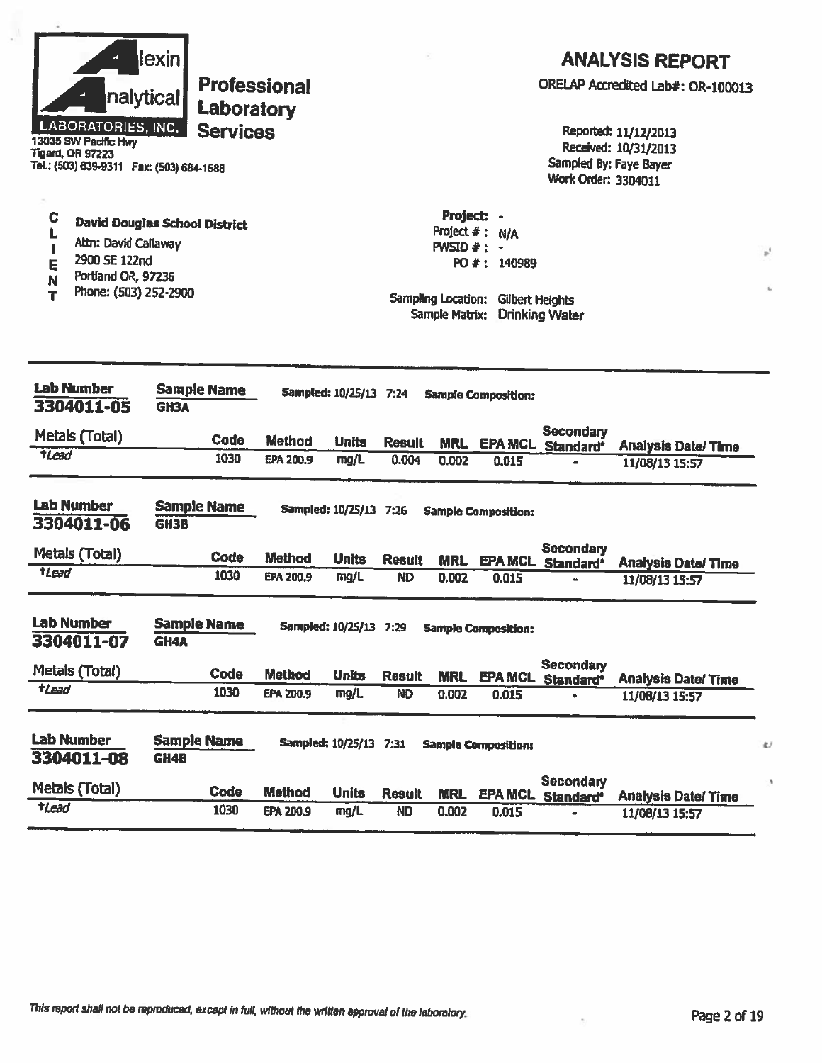| nalytical<br>LABORATORIES, INC.<br>13035 SW Pacific Hwy<br><b>Tigard, OR 97223</b><br>Tel.: (503) 639-9311  Fax: (503) 684-1588<br>C | lexin <br><b>Professional</b><br>Laboratory<br><b>Services</b> |                  |                               |               | Project: -     |                                    | Sampled By: Faye Bayer<br>Work Order: 3304011 | <b>ANALYSIS REPORT</b><br>ORELAP Accredited Lab#: OR-100013<br>Reported: 11/12/2013<br>Received: 10/31/2013 |   |
|--------------------------------------------------------------------------------------------------------------------------------------|----------------------------------------------------------------|------------------|-------------------------------|---------------|----------------|------------------------------------|-----------------------------------------------|-------------------------------------------------------------------------------------------------------------|---|
|                                                                                                                                      | <b>David Douglas School District</b>                           |                  |                               |               |                | Project #: N/A                     |                                               |                                                                                                             |   |
| Attn: David Callaway<br>1<br>2900 SE 122nd                                                                                           |                                                                |                  |                               |               | PWSID $#$ : -  |                                    |                                               |                                                                                                             |   |
| E<br>Portland OR, 97236<br>N                                                                                                         |                                                                |                  |                               |               |                | PO #: 140989                       |                                               |                                                                                                             |   |
| Phone: (503) 252-2900<br>т                                                                                                           |                                                                |                  |                               |               | Sample Matrix: | Sampling Location: Gilbert Helghts | <b>Drinking Water</b>                         |                                                                                                             |   |
| <b>Lab Number</b><br>3304011-05                                                                                                      | <b>Sample Name</b><br><b>GH3A</b>                              |                  | <b>Sampled: 10/25/13 7:24</b> |               |                | <b>Sample Composition:</b>         |                                               |                                                                                                             |   |
| Metals (Total)                                                                                                                       | Cade                                                           | <b>Method</b>    | <b>Units</b>                  | <b>Result</b> | <b>MRL</b>     |                                    | <b>Secondary</b><br>EPA MCL Standard*         | <b>Analysis Date/Time</b>                                                                                   |   |
| tLead                                                                                                                                | 1030                                                           | <b>EPA 200.9</b> | mg/L                          | 0.004         | 0.002          | 0.015                              |                                               | 11/08/13 15:57                                                                                              |   |
| <b>Lab Number</b><br>3304011-06                                                                                                      | <b>Sample Name</b><br><b>GH3B</b>                              |                  | Sampled: 10/25/13 7:26        |               |                | <b>Sample Composition:</b>         | <b>Secondary</b>                              |                                                                                                             |   |
| Metals (Total)                                                                                                                       | Code                                                           | <b>Method</b>    | <b>Units</b>                  | <b>Result</b> | <b>MRL</b>     | <b>EPA MCL</b>                     | Standard*                                     | <b>Analysis Date/Time</b>                                                                                   |   |
| tLead                                                                                                                                | 1030                                                           | EPA 200.9        | mg/L                          | <b>ND</b>     | 0.002          | 0.015                              |                                               | 11/08/13 15:57                                                                                              |   |
| <b>Lab Number</b><br>3304011-07                                                                                                      | <b>Sample Name</b><br><b>GH4A</b>                              |                  | Sampled: 10/25/13 7:29        |               |                | <b>Sample Composition:</b>         | <b>Secondary</b>                              |                                                                                                             |   |
| Metals (Total)                                                                                                                       | Code                                                           | <b>Method</b>    | <b>Units</b>                  | <b>Result</b> | <b>MRL</b>     |                                    | EPA MCL Standard*                             | <b>Analysis Date/Time</b>                                                                                   |   |
| $t$ and                                                                                                                              | 1030                                                           | EPA 200.9        | mg/L                          | <b>ND</b>     | 0.002          | 0.015                              |                                               | 11/08/13 15:57                                                                                              |   |
| <b>Lab Number</b><br>3304011-08                                                                                                      | <b>Sample Name</b><br>GH4B                                     |                  | Sampled: 10/25/13 7:31        |               |                | <b>Sample Composition:</b>         | <b>Secondary</b>                              |                                                                                                             | ŝ |
| Metals (Total)                                                                                                                       | Code                                                           | <b>Method</b>    | <b>Units</b>                  | <b>Result</b> | <b>MRL</b>     |                                    | EPA MCL Standard <sup>®</sup>                 | <b>Analysis Date/Time</b>                                                                                   |   |
| <b>tLead</b>                                                                                                                         | 1030                                                           | EPA 200.9        | mg/L                          | <b>ND</b>     | 0.002          | 0.015                              |                                               | 11/08/13 15:57                                                                                              |   |

This report shall not be reproduced, except in full, without the written approval of the laboratory.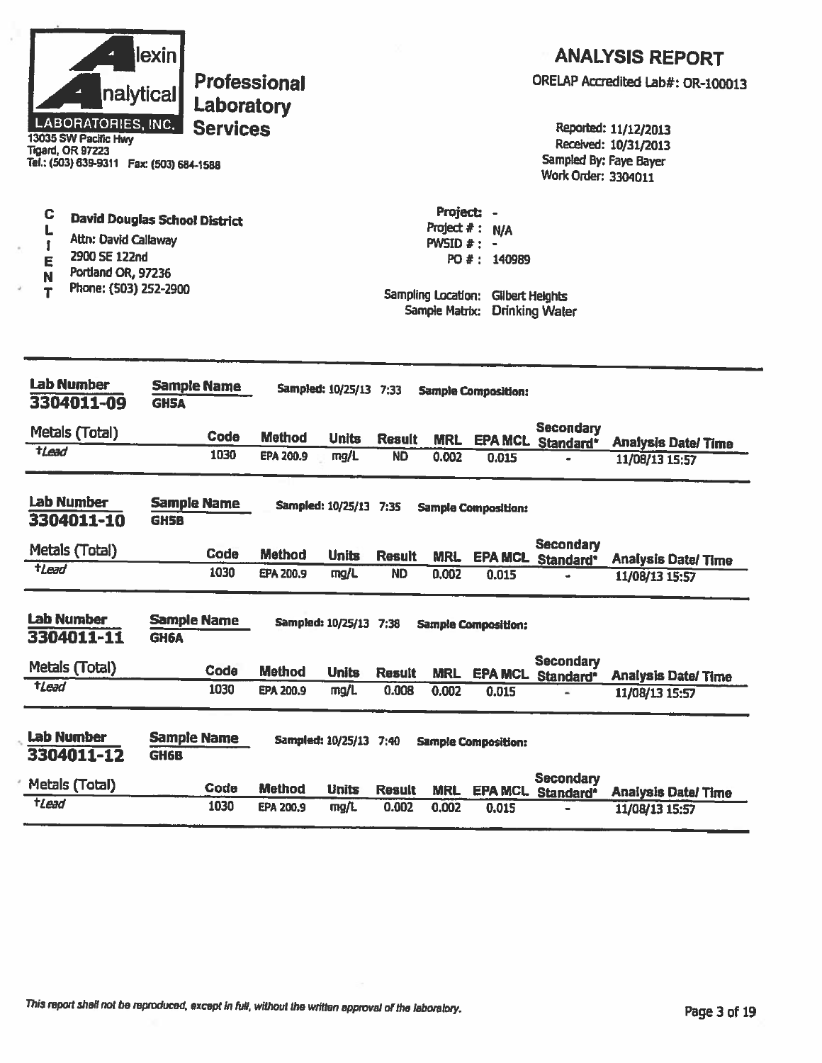|                  | nalytical<br>LABORATORIES, INC.<br>13035 SW Pacific Hwy<br><b>Tigard, OR 97223</b><br>Tel.: (503) 639-9311  Fax: (503) 684-1588 | lexin                             | Laboratory<br><b>Services</b> | Professional     |                        |               |                                                                               |                                                                            | Sampled By: Faye Bayer<br>Work Order: 3304011 | <b>ANALYSIS REPORT</b><br>ORELAP Accredited Lab#: OR-100013<br>Reported: 11/12/2013<br>Received: 10/31/2013 |
|------------------|---------------------------------------------------------------------------------------------------------------------------------|-----------------------------------|-------------------------------|------------------|------------------------|---------------|-------------------------------------------------------------------------------|----------------------------------------------------------------------------|-----------------------------------------------|-------------------------------------------------------------------------------------------------------------|
| C<br>E<br>N<br>т | <b>David Douglas School District</b><br>Attn: David Callaway<br>2900 SE 122nd<br>Portland OR, 97236<br>Phone: (503) 252-2900    |                                   |                               |                  |                        |               | Project: -<br>Project $#$ :<br><b>PWSID <math>#</math>:</b><br>Sample Matrix: | <b>N/A</b><br>$\sim$<br>PO #: 140989<br>Sampling Location: Gilbert Heights | <b>Drinking Water</b>                         |                                                                                                             |
|                  | <b>Lab Number</b><br>3304011-09                                                                                                 | <b>GH5A</b>                       | <b>Sample Name</b>            |                  | Sampled: 10/25/13 7:33 |               |                                                                               | <b>Sample Composition:</b>                                                 |                                               |                                                                                                             |
|                  | Metals (Total)                                                                                                                  |                                   | Code                          | <b>Method</b>    | <b>Units</b>           | <b>Result</b> |                                                                               |                                                                            | Secondary                                     |                                                                                                             |
| tLead            |                                                                                                                                 |                                   | 1030                          | EPA 200.9        | mg/L                   | <b>ND</b>     | <b>MRL</b><br>0.002                                                           | 0.015                                                                      | EPA MCL Standard*                             | <b>Analysis Date/Time</b><br>11/08/13 15:57                                                                 |
|                  | Lab Number<br>3304011-10                                                                                                        | <b>Sample Name</b><br><b>GH5B</b> |                               |                  | Sampled: 10/25/13 7:35 |               |                                                                               | <b>Sample Composition:</b>                                                 |                                               |                                                                                                             |
|                  | Metals (Total)                                                                                                                  |                                   | Code                          | <b>Method</b>    | <b>Units</b>           | <b>Result</b> | <b>MRL</b>                                                                    |                                                                            | <b>Secondary</b><br><b>EPA MCL Standard*</b>  | <b>Analysis Date/ Time</b>                                                                                  |
| $t$ <i>Lead</i>  |                                                                                                                                 |                                   | 1030                          | EPA 200.9        | mg/L                   | <b>ND</b>     | 0.002                                                                         | 0.015                                                                      |                                               | 11/08/13 15:57                                                                                              |
|                  | <b>Lab Number</b><br>3304011-11                                                                                                 | <b>Sample Name</b><br>GH6A        |                               |                  | Sampled: 10/25/13 7:38 |               |                                                                               | <b>Sample Composition:</b>                                                 |                                               |                                                                                                             |
|                  | Metals (Total)                                                                                                                  |                                   | Code                          | <b>Method</b>    | <b>Units</b>           | <b>Result</b> | <b>MRL</b>                                                                    |                                                                            | <b>Secondary</b><br>EPA MCL Standard*         | <b>Analysis Date/Time</b>                                                                                   |
| tLead            |                                                                                                                                 |                                   | 1030                          | EPA 200.9        | mg/L                   | 0.008         | 0.002                                                                         | 0.015                                                                      |                                               | 11/08/13 15:57                                                                                              |
|                  | <b>Lab Number</b><br>3304011-12                                                                                                 | <b>Sample Name</b><br><b>GH6B</b> |                               |                  | Sampled: 10/25/13 7:40 |               |                                                                               | <b>Sample Composition:</b>                                                 | <b>Secondary</b>                              |                                                                                                             |
|                  | Metals (Total)                                                                                                                  |                                   | Code                          | <b>Method</b>    | <b>Units</b>           | <b>Result</b> | <b>MRL</b>                                                                    | <b>EPA MCL</b>                                                             | Standard <sup>*</sup>                         | <b>Analysis Date/Time</b>                                                                                   |
| $t$ Lead         |                                                                                                                                 |                                   | 1030                          | <b>EPA 200,9</b> | mg/L                   | 0.002         | 0.002                                                                         | 0.015                                                                      |                                               | 11/08/13 15:57                                                                                              |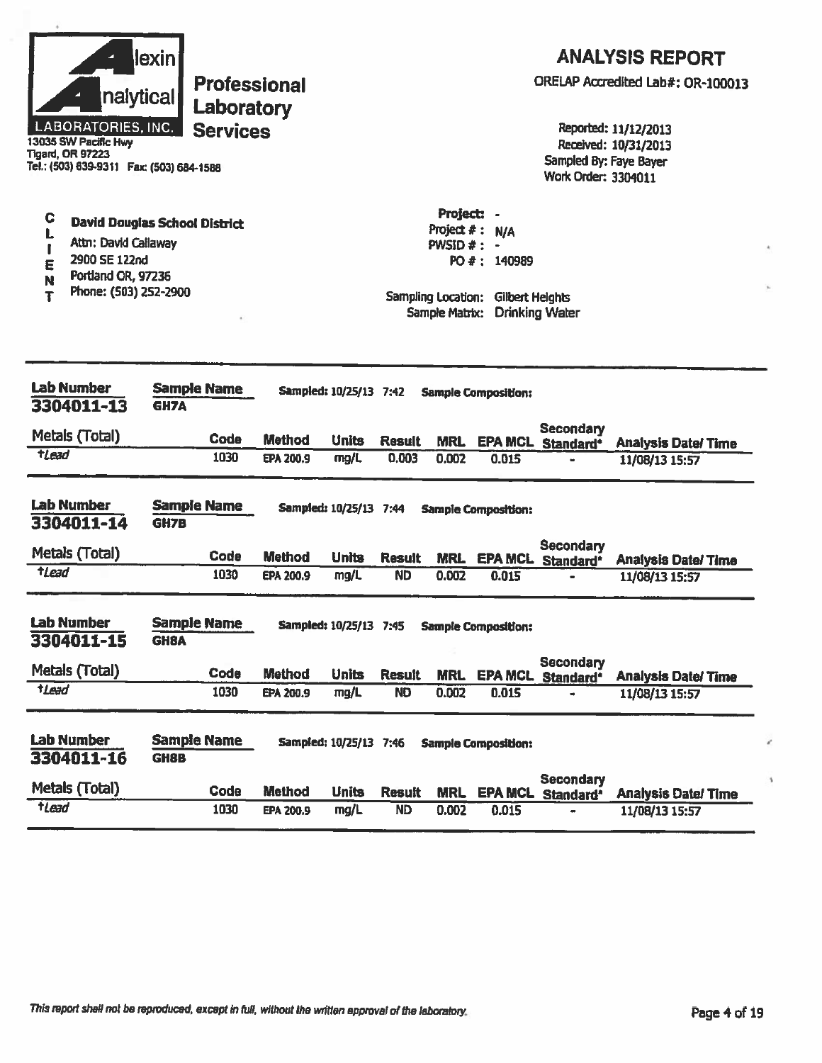|                  | nalytical<br>LABORATORIES, INC.<br>13035 SW Pacific Hwy<br><b>Tigard, OR 97223</b><br>Tel.: (503) 639-9311  Fax: (503) 684-1588 | lexin <br><b>Professional</b><br>Laboratory<br><b>Services</b> |               |                        |               |                                                                |                                                                  | Sampled By: Faye Bayer<br>Work Order: 3304011 | <b>ANALYSIS REPORT</b><br>ORELAP Accredited Lab#: OR-100013<br>Reported: 11/12/2013<br>Received: 10/31/2013 |
|------------------|---------------------------------------------------------------------------------------------------------------------------------|----------------------------------------------------------------|---------------|------------------------|---------------|----------------------------------------------------------------|------------------------------------------------------------------|-----------------------------------------------|-------------------------------------------------------------------------------------------------------------|
| C<br>E<br>N<br>T | Attn: David Callaway<br>2900 SE 122nd<br>Portland OR, 97236<br>Phone: (503) 252-2900                                            | <b>David Douglas School District</b>                           |               |                        |               | Project: -<br>Project $#:$<br>$PWSID \neq$ :<br>Sample Matrix: | <b>N/A</b><br>PO #: 140989<br>Sampling Location: Gilbert Heights | <b>Drinking Water</b>                         |                                                                                                             |
|                  | <b>Lab Number</b><br>3304011-13                                                                                                 | <b>Sample Name</b><br><b>GH7A</b>                              |               | Sampled: 10/25/13 7:42 |               |                                                                | <b>Sample Composition:</b>                                       |                                               |                                                                                                             |
|                  | Metals (Total)                                                                                                                  | Code                                                           | <b>Method</b> | <b>Units</b>           | <b>Result</b> | <b>MRL</b>                                                     | <b>EPA MCL</b>                                                   | <b>Secondary</b><br>Standard*                 | <b>Analysis Date/Time</b>                                                                                   |
| tLead            |                                                                                                                                 | 1030                                                           | EPA 200.9     | mg/L                   | 0.003         | 0.002                                                          | 0.015                                                            |                                               | 11/08/13 15:57                                                                                              |
|                  | <b>Lab Number</b><br>3304011-14                                                                                                 | <b>Sample Name</b><br><b>GH7B</b>                              |               | Sampled: 10/25/13 7:44 |               |                                                                | <b>Sample Composition:</b>                                       |                                               |                                                                                                             |
|                  | Metals (Total)                                                                                                                  | <b>Code</b>                                                    | <b>Method</b> | <b>Units</b>           | <b>Result</b> | <b>MRL</b>                                                     | <b>EPA MCL</b>                                                   | <b>Secondary</b><br>Standard <sup>*</sup>     | <b>Analysis Date/Time</b>                                                                                   |
| tLead            |                                                                                                                                 | 1030                                                           | EPA 200.9     | mg/L                   | <b>ND</b>     | 0.002                                                          | 0.015                                                            |                                               | 11/08/13 15:57                                                                                              |
|                  | <b>Lab Number</b><br>3304011-15                                                                                                 | <b>Sample Name</b><br><b>GH8A</b>                              |               | Sampled: 10/25/13 7:45 |               |                                                                | <b>Sample Composition:</b>                                       |                                               |                                                                                                             |
|                  | Metals (Total)                                                                                                                  | Code                                                           | <b>Method</b> | <b>Units</b>           | <b>Result</b> | <b>MRL</b>                                                     |                                                                  | <b>Secondary</b><br>EPA MCL Standard*         | <b>Analysis Date/Time</b>                                                                                   |
| tLead            |                                                                                                                                 | 1030                                                           | EPA 200.9     | mg/L                   | <b>ND</b>     | 0.002                                                          | 0.015                                                            |                                               | 11/08/13 15:57                                                                                              |
|                  | <b>Lab Number</b><br>3304011-16                                                                                                 | <b>Sample Name</b><br><b>GH8B</b>                              |               | Sampled: 10/25/13 7:46 |               |                                                                | <b>Sample Composition:</b>                                       | <b>Secondary</b>                              |                                                                                                             |
|                  | Metals (Total)                                                                                                                  | Code                                                           | <b>Method</b> | <b>Units</b>           | <b>Result</b> | <b>MRL</b>                                                     |                                                                  | <b>EPA MCL Standard*</b>                      | <b>Analysis Date/Time</b>                                                                                   |
| tLead            |                                                                                                                                 | 1030                                                           | EPA 200.9     | mg/L                   | ND            | 0.002                                                          | 0.015                                                            |                                               | 11/08/13 15:57                                                                                              |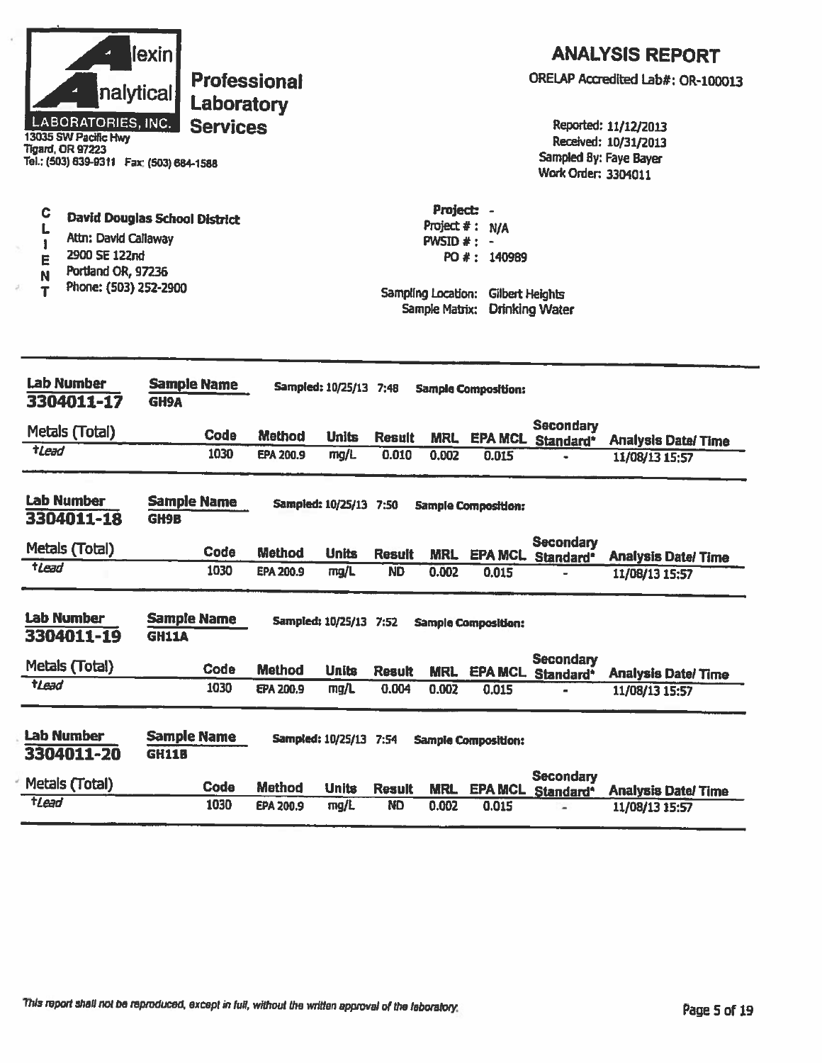| nalytical <br><b>LABORATORIES, INC.</b><br>13035 SW Pacific Hwy<br><b>Tigard, OR 97223</b><br>Tel.: (503) 639-9311  Fax: (503) 684-1588 | lexin<br><b>Professional</b><br>Laboratory<br><b>Services</b> |                            |                        |                        |                                                                    |                                                            | Sampled By: Faye Bayer<br><b>Work Order: 3304011</b> | <b>ANALYSIS REPORT</b><br>ORELAP Accredited Lab#: OR-100013<br>Reported: 11/12/2013<br>Received: 10/31/2013 |
|-----------------------------------------------------------------------------------------------------------------------------------------|---------------------------------------------------------------|----------------------------|------------------------|------------------------|--------------------------------------------------------------------|------------------------------------------------------------|------------------------------------------------------|-------------------------------------------------------------------------------------------------------------|
| C<br>L<br>Attn: David Callaway<br>1<br>2900 SE 122nd<br>E<br>Portland OR, 97236<br>N<br>Phone: (503) 252-2900<br>T                      | <b>David Douglas School District</b>                          |                            |                        |                        | Project: -<br>PWSID $#: -$<br>Sampling Location:<br>Sample Matrix: | Project $#: N/A$<br>PO #: 140989<br><b>Gilbert Heights</b> | <b>Drinking Water</b>                                |                                                                                                             |
| <b>Lab Number</b><br>3304011-17                                                                                                         | <b>Sample Name</b><br><b>GH9A</b>                             |                            | Sampled: 10/25/13 7:48 |                        |                                                                    | <b>Sample Composition:</b>                                 |                                                      |                                                                                                             |
| Metals (Total)                                                                                                                          |                                                               |                            |                        |                        |                                                                    |                                                            | <b>Secondary</b>                                     |                                                                                                             |
| $t$ <i>Lead</i>                                                                                                                         | Code<br>1030                                                  | <b>Method</b><br>EPA 200.9 | <b>Units</b><br>mg/L   | <b>Result</b><br>0.010 | <b>MRL</b><br>0.002                                                | 0.015                                                      | <b>EPA MCL Standard*</b>                             | <b>Analysis Date/Time</b><br>11/08/13 15:57                                                                 |
|                                                                                                                                         |                                                               |                            |                        |                        |                                                                    |                                                            |                                                      |                                                                                                             |
| <b>Lab Number</b><br>3304011-18                                                                                                         | <b>Sample Name</b><br>GH9B                                    |                            | Sampled: 10/25/13 7:50 |                        |                                                                    | <b>Sample Composition:</b>                                 |                                                      |                                                                                                             |
| Metals (Total)                                                                                                                          | Code                                                          | Method                     | <b>Units</b>           | <b>Result</b>          | <b>MRL</b>                                                         |                                                            | <b>Secondary</b><br><b>EPA MCL</b> Standard*         | <b>Analysis Date/ Time</b>                                                                                  |
| $t$ Lead                                                                                                                                | 1030                                                          | EPA 200.9                  | mg/L                   | <b>ND</b>              | 0.002                                                              | 0.015                                                      |                                                      | 11/08/13 15:57                                                                                              |
| <b>Lab Number</b><br>3304011-19                                                                                                         | <b>Sample Name</b><br><b>GH11A</b>                            |                            | Sampled: 10/25/13 7:52 |                        |                                                                    | <b>Sample Composition:</b>                                 |                                                      |                                                                                                             |
| Metals (Total)                                                                                                                          | Code                                                          | <b>Method</b>              | <b>Units</b>           | <b>Result</b>          | <b>MRL</b>                                                         | <b>EPA MCL</b>                                             | <b>Secondary</b><br>Standard <sup>*</sup>            | <b>Analysis Date/Time</b>                                                                                   |
| <b>tLead</b>                                                                                                                            | 1030                                                          | EPA 200.9                  | mg/L                   | 0.004                  | 0.002                                                              | 0.015                                                      |                                                      | 11/08/13 15:57                                                                                              |
| <b>Lab Number</b><br>3304011-20                                                                                                         | <b>Sample Name</b><br><b>GH11B</b>                            |                            | Sampled: 10/25/13 7:54 |                        |                                                                    | <b>Sample Composition:</b>                                 |                                                      |                                                                                                             |
| Metals (Total)                                                                                                                          | Code                                                          | Method                     | <b>Units</b>           | <b>Result</b>          | <b>MRL</b>                                                         | <b>EPA MCL</b>                                             | <b>Secondary</b><br>Standard <sup>*</sup>            | <b>Analysis Date/Time</b>                                                                                   |
| $t$ Lead                                                                                                                                | 1030                                                          | EPA 200.9                  | mg/L                   | <b>ND</b>              | 0.002                                                              | 0.015                                                      |                                                      | 11/08/13 15:57                                                                                              |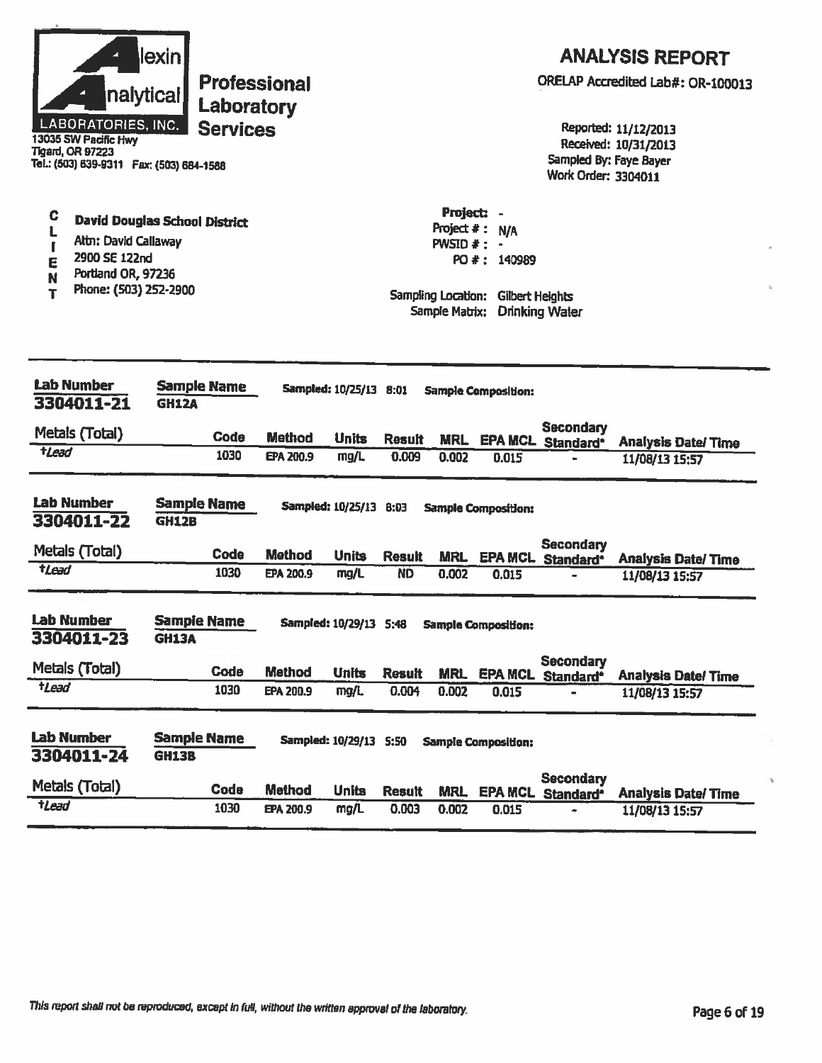| nalytical<br>LABORATORIES, INC.<br>13035 SW Pacific Hwy<br><b>Tigard, OR 97223</b><br>Tel.: (503) 639-9311  Fax: (503) 684-1588 | lexin<br><b>Professional</b><br>Laboratory<br><b>Services</b> |               |                        |               |                                                                    |                                                              | Sampled By: Faye Bayer<br><b>Work Order: 3304011</b> | <b>ANALYSIS REPORT</b><br>ORELAP Accredited Lab#: OR-100013<br>Reported: 11/12/2013<br>Received: 10/31/2013 |
|---------------------------------------------------------------------------------------------------------------------------------|---------------------------------------------------------------|---------------|------------------------|---------------|--------------------------------------------------------------------|--------------------------------------------------------------|------------------------------------------------------|-------------------------------------------------------------------------------------------------------------|
| C<br>L<br>Altn: David Callaway<br>ſ<br>2900 SE 122nd<br>E<br>Portland OR, 97236<br>N<br>Phone: (503) 252-2900<br>т              | <b>David Douglas School District</b>                          |               |                        |               | Project: -<br>$PWSID \# :$<br>Sampling Location:<br>Sample Matrix: | Project $\#$ : N/A<br>PO #: 140989<br><b>Gilbert Heights</b> | <b>Drinking Water</b>                                |                                                                                                             |
| <b>Lab Number</b><br>3304011-21                                                                                                 | <b>Sample Name</b><br><b>GH12A</b>                            |               | Sampled: 10/25/13 8:01 |               |                                                                    | <b>Sample Composition:</b>                                   |                                                      |                                                                                                             |
| Metals (Total)                                                                                                                  | <b>Code</b>                                                   | <b>Method</b> | <b>Units</b>           | <b>Result</b> |                                                                    |                                                              | <b>Secondary</b>                                     |                                                                                                             |
| tLead                                                                                                                           | 1030                                                          | EPA 200.9     | mg/L                   | 0.009         | <b>MRL</b><br>0.002                                                | 0.015                                                        | EPA MCL Standard*                                    | <b>Analysis Date/Time</b><br>11/08/13 15:57                                                                 |
| <b>Lab Number</b><br>3304011-22                                                                                                 | <b>Sample Name</b><br>GH12B                                   |               | Sampled: 10/25/13 8:03 |               |                                                                    | <b>Sample Composition:</b>                                   |                                                      |                                                                                                             |
| Metals (Total)                                                                                                                  | Code                                                          | Method        | <b>Units</b>           | <b>Result</b> | <b>MRL</b>                                                         |                                                              | <b>Secondary</b><br>EPA MCL. Standard*               | <b>Analysis Date/Time</b>                                                                                   |
| $t$ Lead                                                                                                                        | 1030                                                          | EPA 200.9     | mg/L                   | <b>ND</b>     | 0.002                                                              | 0.015                                                        |                                                      | 11/08/13 15:57                                                                                              |
| <b>Lab Number</b><br>3304011-23                                                                                                 | <b>Sample Name</b><br><b>GH13A</b>                            |               | Sampled: 10/29/13 5:48 |               |                                                                    | <b>Sample Composition:</b>                                   |                                                      |                                                                                                             |
| Metals (Total)                                                                                                                  | Code                                                          | <b>Method</b> | <b>Units</b>           | <b>Result</b> | <b>MRL</b>                                                         | <b>EPA MCL</b>                                               | <b>Secondary</b><br>Standard <sup>*</sup>            | <b>Analysis Date/Time</b>                                                                                   |
| tLead                                                                                                                           | 1030                                                          | EPA 200.9     | mg/L                   | 0.004         | 0.002                                                              | 0.015                                                        |                                                      | 11/08/13 15:57                                                                                              |
| <b>Lab Number</b><br>3304011-24                                                                                                 | <b>Sample Name</b><br><b>GH13B</b>                            |               | Sampled: 10/29/13 5:50 |               |                                                                    | <b>Sample Composition:</b>                                   | <b>Secondary</b>                                     |                                                                                                             |
| Metals (Total)                                                                                                                  | Code                                                          | <b>Method</b> | <b>Units</b>           | <b>Result</b> | <b>MRL</b>                                                         |                                                              | <b>EPA MCL Standard*</b>                             | <b>Analysis Date/Time</b>                                                                                   |
| tLead                                                                                                                           | 1030                                                          | EPA 200.9     | mg/L                   | 0.003         | 0.002                                                              | 0.015                                                        |                                                      | 11/08/13 15:57                                                                                              |

í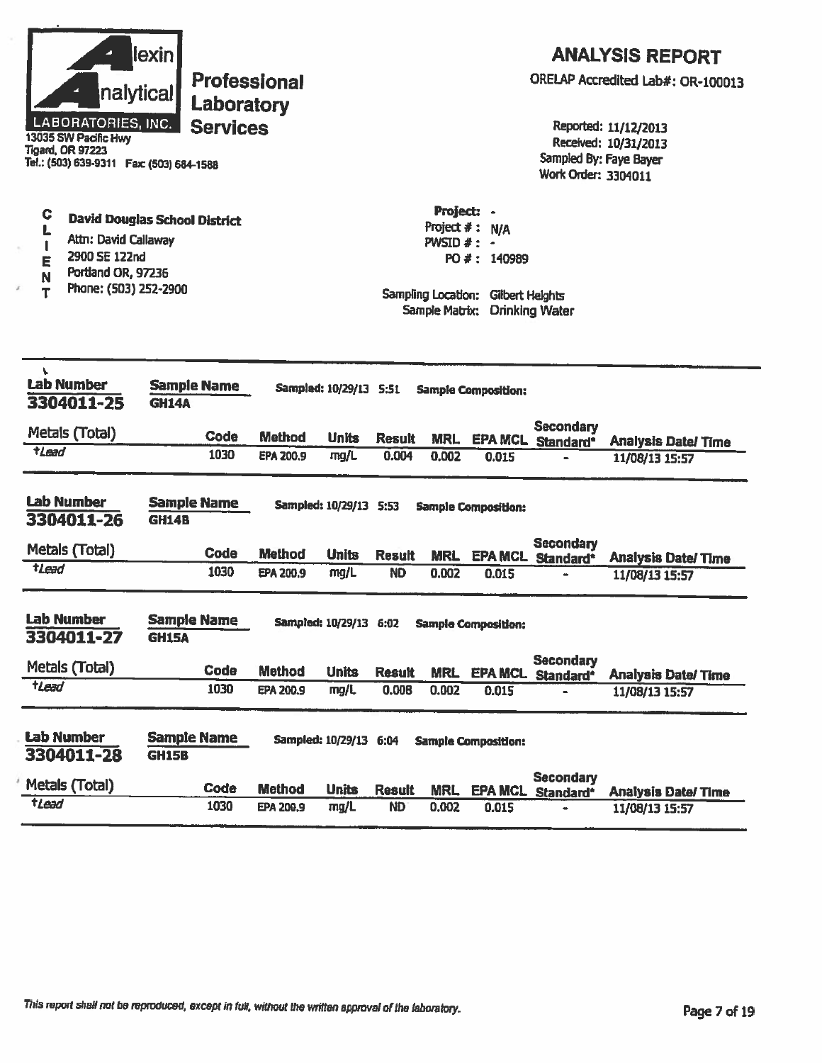| nalytical<br><b>LABORATORIES, INC.</b><br>13035 SW Pacific Hwy<br><b>Tigard, OR 97223</b><br>Tel.: (503) 639-9311  Fax: (503) 684-1588 | lexin<br><b>Professional</b><br>Laboratory<br><b>Services</b> |                  |                        |                        |                                              |                                                                                        | Sampled By: Faye Bayer<br>Work Order: 3304011 | <b>ANALYSIS REPORT</b><br>ORELAP Accredited Lab#: OR-100013<br>Reported: 11/12/2013<br>Received: 10/31/2013 |
|----------------------------------------------------------------------------------------------------------------------------------------|---------------------------------------------------------------|------------------|------------------------|------------------------|----------------------------------------------|----------------------------------------------------------------------------------------|-----------------------------------------------|-------------------------------------------------------------------------------------------------------------|
| C<br>L<br>Attn: David Callaway<br>ı<br>2900 SE 122nd<br>E<br>Portland OR, 97236<br>N<br>Phone: (503) 252-2900<br>Т                     | <b>David Douglas School District</b>                          |                  |                        |                        | Project: -<br>$PWSID \# :$<br>Sample Matrix: | Project #: N/A<br>$\blacksquare$<br>PO #: 140989<br>Sampling Location: Gilbert Helghts | <b>Drinking Water</b>                         |                                                                                                             |
| v<br><b>Lab Number</b><br>3304011-25                                                                                                   | <b>Sample Name</b><br><b>GH14A</b>                            |                  | Sampled: 10/29/13 5:51 |                        |                                              | <b>Sample Composition:</b>                                                             |                                               |                                                                                                             |
| Metals (Total)                                                                                                                         | Code                                                          | <b>Method</b>    | <b>Units</b>           |                        |                                              |                                                                                        | <b>Secondary</b>                              |                                                                                                             |
| $t$ Lead                                                                                                                               | 1030                                                          | <b>EPA 200.9</b> | mg/L                   | <b>Result</b><br>0.004 | <b>MRL</b><br>0.002                          | 0.015                                                                                  | EPA MCL Standard*                             | <b>Analysis Date/Time</b><br>11/08/13 15:57                                                                 |
| <b>Lab Number</b><br>3304011-26                                                                                                        | <b>Sample Name</b><br><b>GH14B</b>                            |                  | Sampled: 10/29/13 5:53 |                        |                                              | <b>Sample Composition:</b>                                                             |                                               |                                                                                                             |
| Metals (Total)                                                                                                                         | Code                                                          | <b>Method</b>    | <b>Units</b>           | <b>Result</b>          | <b>MRL</b>                                   |                                                                                        | <b>Secondary</b><br>EPA MCL Standard*         | <b>Analysis Date/Time</b>                                                                                   |
| $t$ Lead                                                                                                                               | 1030                                                          | EPA 200.9        | mg/L                   | <b>ND</b>              | 0.002                                        | 0.015                                                                                  |                                               | 11/08/13 15:57                                                                                              |
| <b>Lab Number</b><br>3304011-27                                                                                                        | <b>Sample Name</b><br><b>GH15A</b>                            |                  |                        |                        |                                              | Sampled: 10/29/13 6:02 Sample Composition:                                             |                                               |                                                                                                             |
| Metals (Total)                                                                                                                         | Code                                                          | <b>Method</b>    | <b>Units</b>           | <b>Result</b>          |                                              |                                                                                        | <b>Secondary</b><br>MRL EPA MCL Standard*     | <b>Analysis Date/Time</b>                                                                                   |
| tLead                                                                                                                                  | 1030                                                          | EPA 200.9        | mg/L                   | 0.008                  | 0.002                                        | 0.015                                                                                  |                                               | 11/08/13 15:57                                                                                              |
| <b>Lab Number</b><br>3304011-28                                                                                                        | <b>Sample Name</b><br><b>GH15B</b>                            |                  | Sampled: 10/29/13 6:04 |                        |                                              | <b>Sample Composition:</b>                                                             |                                               |                                                                                                             |
| Metals (Total)                                                                                                                         | Code                                                          | <b>Method</b>    | <b>Units</b>           | <b>Result</b>          | <b>MRL</b>                                   |                                                                                        | <b>Secondary</b><br>EPA MCL Standard*         | <b>Analysis Date/Time</b>                                                                                   |
| tlead                                                                                                                                  | 1030                                                          | EPA 200,9        | mg/L                   | <b>ND</b>              | 0.002                                        | 0.015                                                                                  |                                               | 11/08/13 15:57                                                                                              |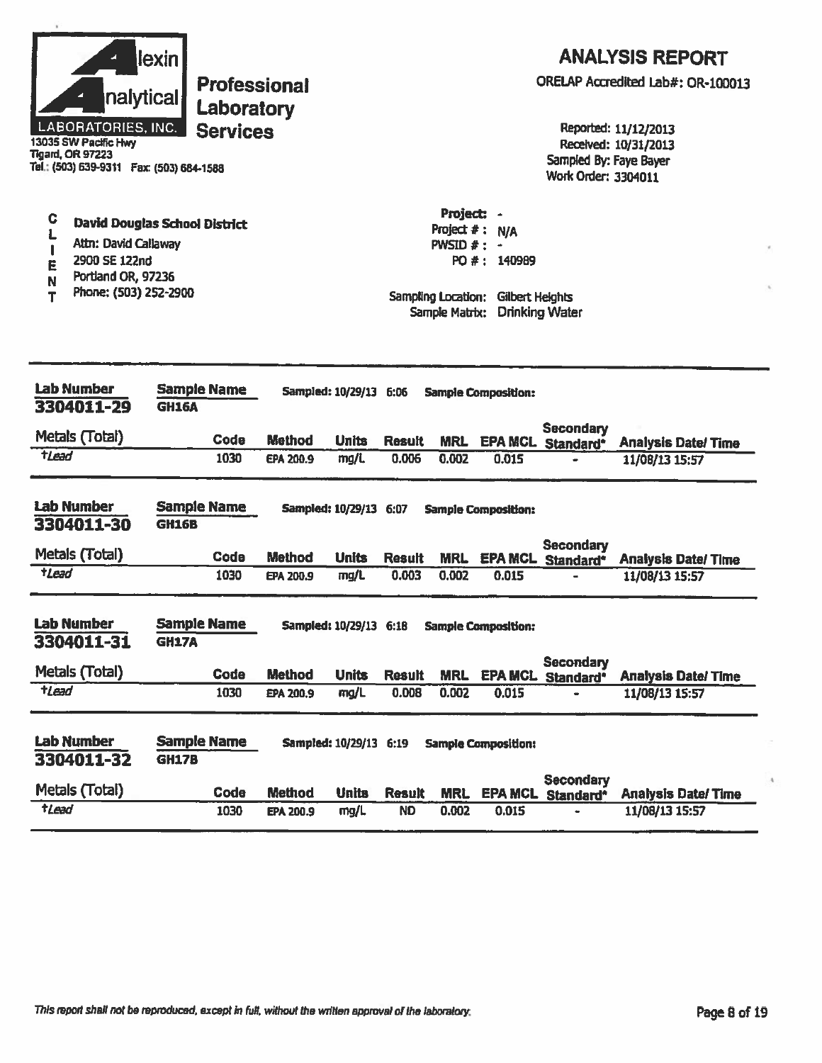| 13035 SW Pacific Hwy<br><b>Tigard, OR 97223</b>                                                                    | lexin<br><b>ANALYSIS REPORT</b><br>ORELAP Accredited Lab#: OR-100013<br><b>Professional</b><br>nalytical<br>Laboratory<br><b>LABORATORIES, INC.</b><br>Reported: 11/12/2013<br><b>Services</b><br>Received: 10/31/2013<br>Sampled By: Faye Bayer<br>Tel.: (503) 639-9311  Fax: (503) 684-1588<br><b>Work Order: 3304011</b><br>Project: - |                  |                          |               |                                                                                      |                                        |                                              |                            |  |  |
|--------------------------------------------------------------------------------------------------------------------|-------------------------------------------------------------------------------------------------------------------------------------------------------------------------------------------------------------------------------------------------------------------------------------------------------------------------------------------|------------------|--------------------------|---------------|--------------------------------------------------------------------------------------|----------------------------------------|----------------------------------------------|----------------------------|--|--|
| C<br>Ł<br>Attn: David Callaway<br>П<br>2900 SE 122nd<br>E<br>Portland OR, 97236<br>N<br>Phone: (503) 252-2900<br>т | <b>David Douglas School District</b>                                                                                                                                                                                                                                                                                                      |                  |                          |               | Project $#:$<br><b>PWSID <math>#</math>:</b><br>Sampling Location:<br>Sample Matrix: | N/A<br>PO #: 140989<br>Gilbert Heights | <b>Drinking Water</b>                        |                            |  |  |
| <b>Lab Number</b><br>3304011-29                                                                                    | <b>Sample Name</b><br><b>GH16A</b>                                                                                                                                                                                                                                                                                                        |                  | <b>Sampled: 10/29/13</b> | 6:06          |                                                                                      | <b>Sample Composition:</b>             |                                              |                            |  |  |
| Metals (Total)                                                                                                     | Code                                                                                                                                                                                                                                                                                                                                      | <b>Method</b>    | <b>Units</b>             | <b>Result</b> | <b>MRL</b>                                                                           |                                        | <b>Secondary</b><br><b>EPA MCL Standard*</b> | <b>Analysis Date/Time</b>  |  |  |
| <b>tLead</b>                                                                                                       | 1030                                                                                                                                                                                                                                                                                                                                      | EPA 200.9        | mg/L                     | 0.006         | 0.002                                                                                | 0.015                                  | ÷                                            | 11/08/13 15:57             |  |  |
| <b>Lab Number</b><br>3304011-30                                                                                    | <b>Sample Name</b><br><b>GH16B</b>                                                                                                                                                                                                                                                                                                        |                  | Sampled: 10/29/13 6:07   |               |                                                                                      | <b>Sample Composition:</b>             |                                              |                            |  |  |
| Metals (Total)                                                                                                     | Code                                                                                                                                                                                                                                                                                                                                      | <b>Method</b>    | <b>Units</b>             | <b>Result</b> | <b>MRL</b>                                                                           | <b>EPA MCL</b>                         | <b>Secondary</b><br>Standard*                | <b>Analysis Date/Time</b>  |  |  |
| $t$ Lead                                                                                                           | 1030                                                                                                                                                                                                                                                                                                                                      | EPA 200.9        | mg/L                     | 0.003         | 0.002                                                                                | 0.015                                  | $\blacksquare$                               | 11/08/13 15:57             |  |  |
| <b>Lab Number</b><br>3304011-31                                                                                    | <b>Sample Name</b><br><b>GH17A</b>                                                                                                                                                                                                                                                                                                        |                  | Sampled: 10/29/13 6:18   |               |                                                                                      | <b>Sample Composition:</b>             |                                              |                            |  |  |
| Metals (Total)                                                                                                     | <b>Code</b>                                                                                                                                                                                                                                                                                                                               | <b>Method</b>    | <b>Units</b>             | <b>Result</b> | <b>MRL</b>                                                                           |                                        | <b>Secondary</b><br><b>EPA MCL Standard*</b> | <b>Analysis Date/ Time</b> |  |  |
| tlead                                                                                                              | 1030                                                                                                                                                                                                                                                                                                                                      | <b>EPA 200.9</b> | mg/L                     | 0.008         | 0.002                                                                                | 0.015                                  |                                              | 11/08/13 15:57             |  |  |
| <b>Lab Number</b><br>3304011-32                                                                                    | <b>Sample Name</b><br><b>GH17B</b>                                                                                                                                                                                                                                                                                                        |                  | Sampled: 10/29/13 6:19   |               |                                                                                      | <b>Sample Composition:</b>             | <b>Secondary</b>                             |                            |  |  |
| Metals (Total)                                                                                                     | Code                                                                                                                                                                                                                                                                                                                                      | <b>Method</b>    | <b>Units</b>             | <b>Result</b> | <b>MRL</b>                                                                           | <b>EPA MCL</b>                         | Standard <sup>*</sup>                        | <b>Analysis Date/Time</b>  |  |  |
| $t$ Lead                                                                                                           | 1030                                                                                                                                                                                                                                                                                                                                      | EPA 200.9        | mg/L                     | <b>ND</b>     | 0.002                                                                                | 0.015                                  |                                              | 11/08/13 15:57             |  |  |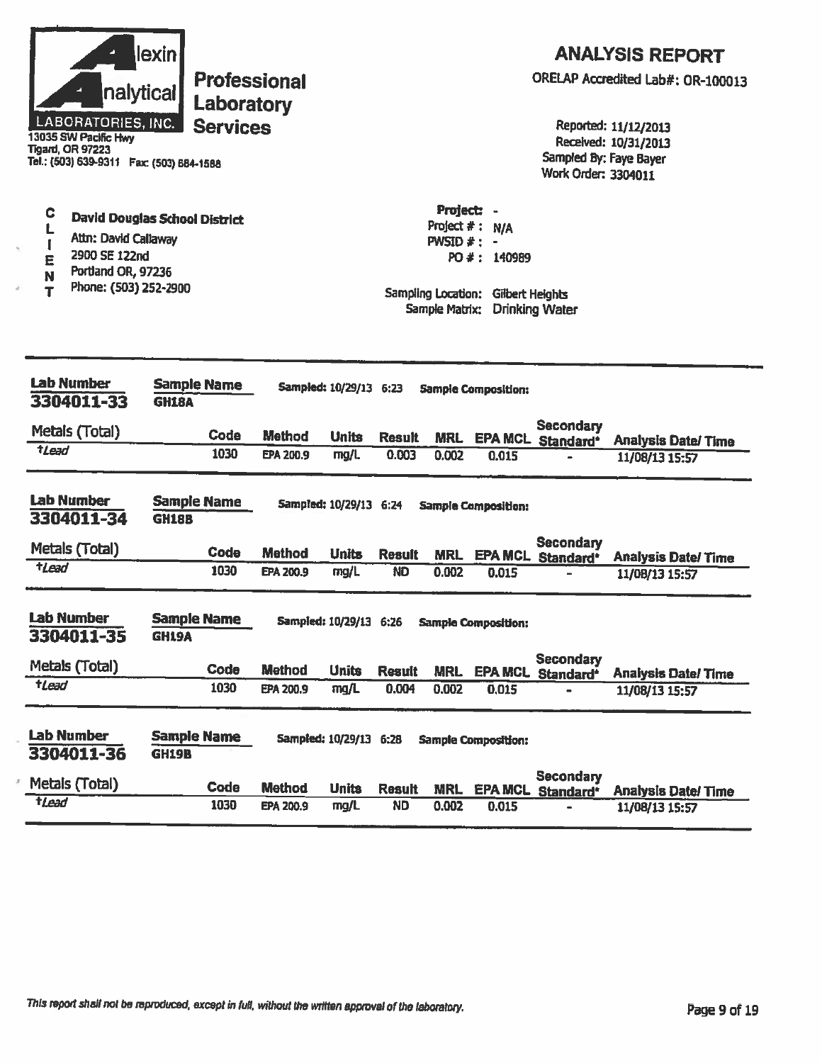| LABORATORIES, INC.<br>13035 SW Pacific Hwy<br><b>Tigard, OR 97223</b><br>Tel.: (503) 639-9311 Fax: (503) 684-1588             | lexin<br>nalytical            | <b>Professional</b><br>Laboratory<br><b>Services</b> |                                   |                                                |                        |                                                |                                                                      | Sampled By: Faye Bayer<br>Work Order: 3304011                  | <b>ANALYSIS REPORT</b><br>ORELAP Accredited Lab#: OR-100013<br>Reported: 11/12/2013<br>Received: 10/31/2013 |
|-------------------------------------------------------------------------------------------------------------------------------|-------------------------------|------------------------------------------------------|-----------------------------------|------------------------------------------------|------------------------|------------------------------------------------|----------------------------------------------------------------------|----------------------------------------------------------------|-------------------------------------------------------------------------------------------------------------|
| C<br>L<br>Attn: David Callaway<br>$\mathbf{f}$<br>2900 SE 122nd<br>E<br>Portland OR, 97236<br>N<br>Phone: (503) 252-2900<br>T | David Douglas School District |                                                      |                                   |                                                |                        | Project: -<br>$PWSID \# : -$<br>Sample Matrix: | Project #: N/A<br>PO #: 140989<br>Sampling Location: Gilbert Heights | <b>Drinking Water</b>                                          |                                                                                                             |
| <b>Lab Number</b><br>3304011-33                                                                                               | <b>GH18A</b>                  | <b>Sample Name</b>                                   |                                   | Sampled: 10/29/13 6:23                         |                        |                                                | <b>Sample Composition:</b>                                           |                                                                |                                                                                                             |
| Metals (Total)                                                                                                                |                               | Code                                                 |                                   |                                                |                        |                                                |                                                                      | Secondary                                                      |                                                                                                             |
| $t$ <i>Lead</i>                                                                                                               |                               | 1030                                                 | <b>Method</b><br><b>EPA 200.9</b> | <b>Units</b><br>mg/L                           | <b>Result</b><br>0.003 | <b>MRL</b><br>0.002                            | 0.015                                                                | EPA MCL Standard*                                              | <b>Analysis Date/Time</b><br>11/08/13 15:57                                                                 |
|                                                                                                                               |                               |                                                      |                                   |                                                |                        |                                                |                                                                      |                                                                |                                                                                                             |
| Lab Number<br>3304011-34                                                                                                      | <b>GH18B</b>                  | <b>Sample Name</b>                                   |                                   | Sampled: 10/29/13 6:24                         |                        |                                                | <b>Sample Composition:</b>                                           |                                                                |                                                                                                             |
| Metals (Total)                                                                                                                |                               | Code                                                 | <b>Method</b>                     | <b>Units</b>                                   | <b>Result</b>          |                                                |                                                                      | <b>Secondary</b><br>MRL EPA MCL Standard*                      |                                                                                                             |
| $t$ Lead                                                                                                                      |                               | 1030                                                 | <b>EPA 200.9</b>                  | mg/L                                           | <b>ND</b>              | 0.002                                          | 0.015                                                                |                                                                | <b>Analysis Date/Time</b><br>11/08/13 15:57                                                                 |
| <b>Lab Number</b><br>3304011-35<br>Metals (Total)<br>$t$ <i>Lead</i>                                                          | <b>GH19A</b>                  | <b>Sample Name</b><br>Code<br>1030                   | <b>Method</b><br>EPA 200.9        | Sampled: 10/29/13 6:26<br><b>Units</b><br>mg/L | <b>Result</b><br>0.004 | <b>MRL</b><br>0.002                            | <b>Sample Composition:</b><br>0,015                                  | <b>Secondary</b><br><b>EPA MCL Standard*</b><br>$\blacksquare$ | <b>Analysis Date/Time</b><br>11/08/13 15:57                                                                 |
| <b>Lab Number</b><br>3304011-36                                                                                               | <b>GH19B</b>                  | <b>Sample Name</b>                                   |                                   | Sampled: 10/29/13 6:28                         |                        |                                                | <b>Sample Composition:</b>                                           | <b>Secondary</b>                                               |                                                                                                             |
| Metals (Total)<br>$t$ <i>lead</i>                                                                                             |                               | <b>Code</b>                                          | <b>Method</b>                     | <b>Units</b>                                   | <b>Result</b>          | <b>MRL</b>                                     |                                                                      | EPA MCL Standard*                                              | <b>Analysis Date/Time</b>                                                                                   |
|                                                                                                                               |                               | 1030                                                 | <b>EPA 200.9</b>                  | mg/L                                           | <b>ND</b>              | 0.002                                          | 0.015                                                                |                                                                | 11/08/13 15:57                                                                                              |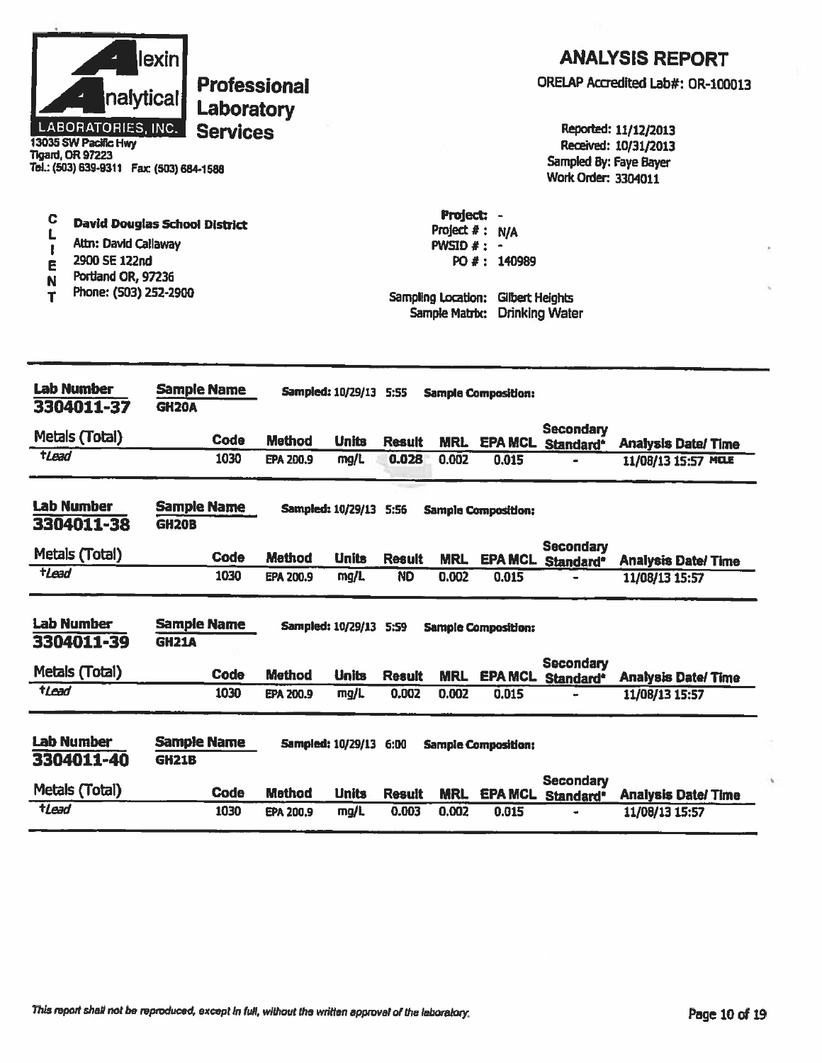| nalytical<br>LABORATORIES, INC.<br>13035 SW Pacific Hwy<br><b>Tigard, OR 97223</b><br>Tel.: (503) 639-9311 Fax: (503) 684-1588 | lexin<br><b>Professional</b><br>Laboratory<br><b>Services</b> |                  |                               |                        |                                                                               |                                       | Sampled By: Faye Bayer                              | <b>ANALYSIS REPORT</b><br>ORELAP Accredited Lab#: OR-100013<br>Reported: 11/12/2013<br>Received: 10/31/2013 |
|--------------------------------------------------------------------------------------------------------------------------------|---------------------------------------------------------------|------------------|-------------------------------|------------------------|-------------------------------------------------------------------------------|---------------------------------------|-----------------------------------------------------|-------------------------------------------------------------------------------------------------------------|
| C<br>L<br>Attn: David Callaway<br>2900 SE 122nd<br>E<br>Portland OR, 97236<br>N<br>Phone: (503) 252-2900<br>т                  | <b>David Douglas School District</b>                          |                  |                               |                        | Project: -<br>Project #:<br>$PWSID$ #:<br>Sampling Location:<br>Sample Matrb: | N/A<br>PO #: 140989<br>Gibert Heights | <b>Work Order: 3304011</b><br><b>Drinking Water</b> |                                                                                                             |
| <b>Lab Number</b>                                                                                                              | <b>Sample Name</b>                                            |                  | Sampled: 10/29/13 5:55        |                        |                                                                               | <b>Sample Composition:</b>            |                                                     |                                                                                                             |
| 3304011-37                                                                                                                     | <b>GH20A</b>                                                  |                  |                               |                        |                                                                               |                                       |                                                     |                                                                                                             |
| Metals (Total)                                                                                                                 | Code                                                          | <b>Method</b>    | <b>Units</b>                  | <b>Result</b>          | <b>MRL</b>                                                                    |                                       | <b>Secondary</b><br><b>EPA MCL Standard*</b>        | <b>Analysis Date/Time</b>                                                                                   |
| tLead                                                                                                                          | 1030                                                          | <b>EPA 200.9</b> | mg/L                          | 0.028                  | 0.002                                                                         | 0.015                                 |                                                     | 11/08/13 15:57 MCLE                                                                                         |
| <b>Lab Number</b><br>3304011-38                                                                                                | <b>Sample Name</b><br><b>GH20B</b>                            |                  | <b>Sampled: 10/29/13 5:56</b> |                        |                                                                               | <b>Sample Composition:</b>            |                                                     |                                                                                                             |
| Metals (Total)                                                                                                                 | Code                                                          | <b>Method</b>    | <b>Units</b>                  | <b>Result</b>          | <b>MRL</b>                                                                    | <b>EPA MCL</b>                        | <b>Secondary</b><br>Standard*                       | <b>Analysis Date/Time</b>                                                                                   |
| <b>tLead</b>                                                                                                                   | 1030                                                          | <b>EPA 200.9</b> | mg/L                          | <b>ND</b>              | 0.002                                                                         | 0.015                                 |                                                     | 11/08/13 15:57                                                                                              |
| <b>Lab Number</b><br>3304011-39<br>Metals (Total)                                                                              | <b>Sample Name</b><br><b>GH21A</b>                            |                  | Sampled: 10/29/13 5:S9        |                        |                                                                               | Samole Composition:                   | Secondary                                           |                                                                                                             |
| tLead                                                                                                                          | Code<br>1030                                                  | <b>Method</b>    | <b>Units</b><br>mg/L          | <b>Result</b><br>0.002 | <b>MRL</b><br>0.002                                                           | 0.015                                 | <b>EPA MCL Standard*</b>                            | <b>Analysis Date/Time</b><br>11/08/13 15:57                                                                 |
|                                                                                                                                |                                                               | EPA 200.9        |                               |                        |                                                                               |                                       |                                                     |                                                                                                             |
| <b>Lab Number</b><br>3304011-40                                                                                                | <b>Sample Name</b><br><b>GH21B</b>                            |                  | <b>Sampled: 10/29/13 6:00</b> |                        |                                                                               | <b>Sample Composition:</b>            | <b>Secondary</b>                                    |                                                                                                             |
| Metals (Total)                                                                                                                 | Code                                                          | <b>Method</b>    | <b>Units</b>                  | <b>Result</b>          | <b>MRL</b>                                                                    | <b>EPA MCL</b>                        | Standard*                                           | <b>Analysis Date/Time</b>                                                                                   |
| tLead                                                                                                                          | 1030                                                          | EPA 200.9        | mg/L                          | 0.003                  | 0.002                                                                         | 0.015                                 |                                                     | 11/08/13 15:57                                                                                              |

i,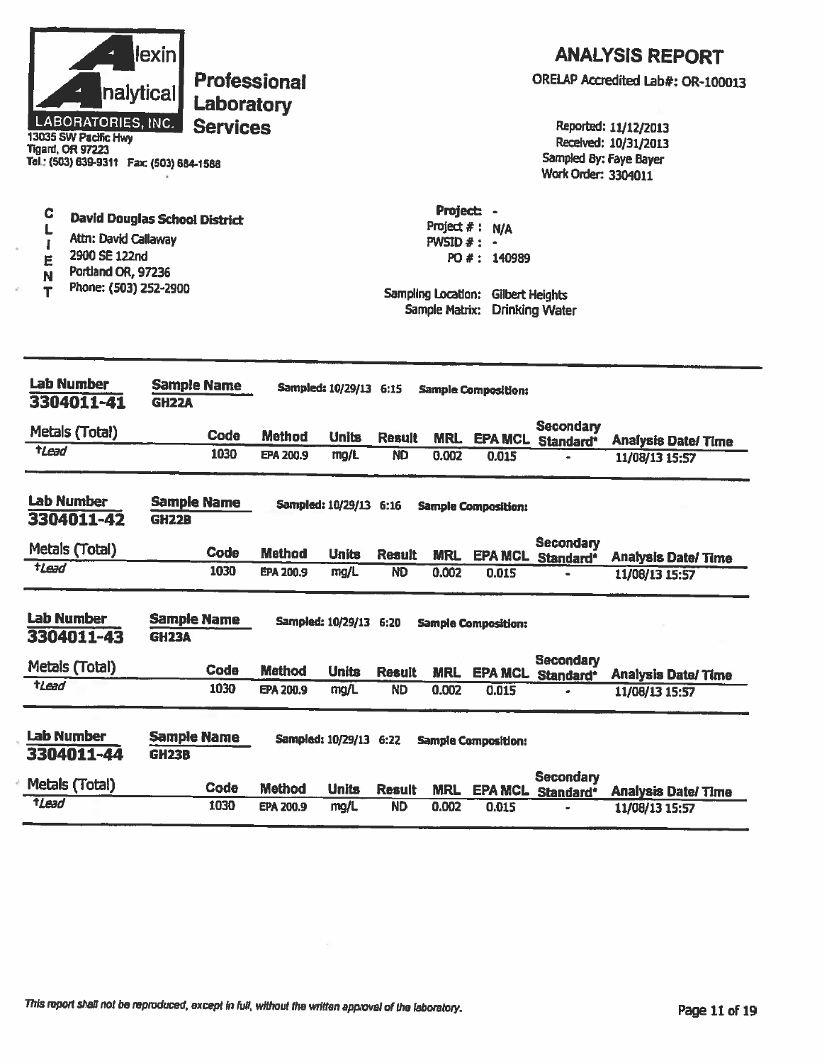| Project: -<br>C<br><b>David Douglas School District</b><br>Project $#$ :<br><b>N/A</b><br>Attn: David Callaway<br><b>PWSID <math>#</math>: -</b><br>I<br>2900 SE 122nd<br>PO #: 140989<br>E<br>Portland OR, 97236<br>N<br>Phone: (503) 252-2900<br>Т<br>Sampling Location:<br><b>Gilbert Heights</b><br><b>Drinking Water</b><br>Sample Matrix:<br><b>Lab Number</b><br><b>Sample Name</b><br>Sampled: 10/29/13 6:15<br><b>Sample Composition:</b><br>3304011-41<br><b>GH22A</b><br><b>Secondary</b><br>Metals (Total)<br>Code<br><b>Method</b><br><b>Units</b><br><b>Result</b><br><b>MRL</b><br>EPA MCL Standard*<br><b>Analysis Date/Time</b><br><b>tLead</b><br>1030<br>EPA 200.9<br>mg/L<br>ND<br>0.002<br>0.015<br>11/08/13 15:57<br><b>Lab Number</b><br><b>Sample Name</b><br>Sampled: 10/29/13 6:16<br><b>Sample Composition:</b><br>3304011-42<br><b>GH22B</b><br><b>Secondary</b><br>Metals (Total)<br><b>Code</b><br>Method<br><b>Units</b><br><b>Result</b><br><b>MRL</b><br>EPA MCL Standard*<br><b>Analysis Date/ Time</b><br>$t$ Lead<br>1030<br><b>ND</b><br>0.002<br>EPA 200.9<br>mg/L<br>0.015<br>11/08/13 15:57<br><b>Lab Number</b><br><b>Sample Name</b><br>Sampled: 10/29/13 6:20<br><b>Sample Composition:</b><br>3304011-43<br><b>GH23A</b><br><b>Secondary</b><br>Metals (Total)<br>Code<br><b>Method</b><br><b>Units</b><br><b>Result</b><br><b>MRL</b><br><b>EPA MCL Standard*</b><br><b>Analysis Date/Time</b><br>tLead<br>1030<br><b>ND</b><br>mg/L<br>0.002<br>EPA 200.9<br>0.015<br>11/08/13 15:57<br><b>Sample Name</b><br>Sampled: 10/29/13 6:22<br><b>Sample Composition:</b><br><b>GH23B</b><br><b>Secondary</b><br>Metals (Total)<br>Code<br><b>Method</b><br><b>Units</b><br><b>Result</b><br><b>MRL</b><br><b>EPA MCL Standard*</b><br><b>Analysis Date/Time</b><br>tLead<br>1030<br><b>ND</b><br>EPA 200.9<br>mg/L<br>0.002<br>0.015<br>11/08/13 15:57 | <b>LABORATORIES, INC.</b><br>13035 SW Pacific Hwy<br><b>Tigard, OR 97223</b><br>Tel.: (503) 639-9311  Fax: (503) 684-1586 | lexin<br><b>Professional</b><br>nalyticall<br>Laboratory<br><b>Services</b> |  |  | Sampled By: Faye Bayer<br>Work Order: 3304011 | <b>ANALYSIS REPORT</b><br>ORELAP Accredited Lab#: OR-100013<br>Reported: 11/12/2013<br>Received: 10/31/2013 |
|------------------------------------------------------------------------------------------------------------------------------------------------------------------------------------------------------------------------------------------------------------------------------------------------------------------------------------------------------------------------------------------------------------------------------------------------------------------------------------------------------------------------------------------------------------------------------------------------------------------------------------------------------------------------------------------------------------------------------------------------------------------------------------------------------------------------------------------------------------------------------------------------------------------------------------------------------------------------------------------------------------------------------------------------------------------------------------------------------------------------------------------------------------------------------------------------------------------------------------------------------------------------------------------------------------------------------------------------------------------------------------------------------------------------------------------------------------------------------------------------------------------------------------------------------------------------------------------------------------------------------------------------------------------------------------------------------------------------------------------------------------------------------------------------------------------------------------------------------------------------------------------------|---------------------------------------------------------------------------------------------------------------------------|-----------------------------------------------------------------------------|--|--|-----------------------------------------------|-------------------------------------------------------------------------------------------------------------|
|                                                                                                                                                                                                                                                                                                                                                                                                                                                                                                                                                                                                                                                                                                                                                                                                                                                                                                                                                                                                                                                                                                                                                                                                                                                                                                                                                                                                                                                                                                                                                                                                                                                                                                                                                                                                                                                                                                |                                                                                                                           |                                                                             |  |  |                                               |                                                                                                             |
|                                                                                                                                                                                                                                                                                                                                                                                                                                                                                                                                                                                                                                                                                                                                                                                                                                                                                                                                                                                                                                                                                                                                                                                                                                                                                                                                                                                                                                                                                                                                                                                                                                                                                                                                                                                                                                                                                                |                                                                                                                           |                                                                             |  |  |                                               |                                                                                                             |
|                                                                                                                                                                                                                                                                                                                                                                                                                                                                                                                                                                                                                                                                                                                                                                                                                                                                                                                                                                                                                                                                                                                                                                                                                                                                                                                                                                                                                                                                                                                                                                                                                                                                                                                                                                                                                                                                                                |                                                                                                                           |                                                                             |  |  |                                               |                                                                                                             |
|                                                                                                                                                                                                                                                                                                                                                                                                                                                                                                                                                                                                                                                                                                                                                                                                                                                                                                                                                                                                                                                                                                                                                                                                                                                                                                                                                                                                                                                                                                                                                                                                                                                                                                                                                                                                                                                                                                |                                                                                                                           |                                                                             |  |  |                                               |                                                                                                             |
|                                                                                                                                                                                                                                                                                                                                                                                                                                                                                                                                                                                                                                                                                                                                                                                                                                                                                                                                                                                                                                                                                                                                                                                                                                                                                                                                                                                                                                                                                                                                                                                                                                                                                                                                                                                                                                                                                                |                                                                                                                           |                                                                             |  |  |                                               |                                                                                                             |
|                                                                                                                                                                                                                                                                                                                                                                                                                                                                                                                                                                                                                                                                                                                                                                                                                                                                                                                                                                                                                                                                                                                                                                                                                                                                                                                                                                                                                                                                                                                                                                                                                                                                                                                                                                                                                                                                                                |                                                                                                                           |                                                                             |  |  |                                               |                                                                                                             |
|                                                                                                                                                                                                                                                                                                                                                                                                                                                                                                                                                                                                                                                                                                                                                                                                                                                                                                                                                                                                                                                                                                                                                                                                                                                                                                                                                                                                                                                                                                                                                                                                                                                                                                                                                                                                                                                                                                |                                                                                                                           |                                                                             |  |  |                                               |                                                                                                             |
|                                                                                                                                                                                                                                                                                                                                                                                                                                                                                                                                                                                                                                                                                                                                                                                                                                                                                                                                                                                                                                                                                                                                                                                                                                                                                                                                                                                                                                                                                                                                                                                                                                                                                                                                                                                                                                                                                                |                                                                                                                           |                                                                             |  |  |                                               |                                                                                                             |
|                                                                                                                                                                                                                                                                                                                                                                                                                                                                                                                                                                                                                                                                                                                                                                                                                                                                                                                                                                                                                                                                                                                                                                                                                                                                                                                                                                                                                                                                                                                                                                                                                                                                                                                                                                                                                                                                                                |                                                                                                                           |                                                                             |  |  |                                               |                                                                                                             |
|                                                                                                                                                                                                                                                                                                                                                                                                                                                                                                                                                                                                                                                                                                                                                                                                                                                                                                                                                                                                                                                                                                                                                                                                                                                                                                                                                                                                                                                                                                                                                                                                                                                                                                                                                                                                                                                                                                | <b>Lab Number</b><br>3304011-44                                                                                           |                                                                             |  |  |                                               |                                                                                                             |
|                                                                                                                                                                                                                                                                                                                                                                                                                                                                                                                                                                                                                                                                                                                                                                                                                                                                                                                                                                                                                                                                                                                                                                                                                                                                                                                                                                                                                                                                                                                                                                                                                                                                                                                                                                                                                                                                                                |                                                                                                                           |                                                                             |  |  |                                               |                                                                                                             |
|                                                                                                                                                                                                                                                                                                                                                                                                                                                                                                                                                                                                                                                                                                                                                                                                                                                                                                                                                                                                                                                                                                                                                                                                                                                                                                                                                                                                                                                                                                                                                                                                                                                                                                                                                                                                                                                                                                |                                                                                                                           |                                                                             |  |  |                                               |                                                                                                             |

Ō,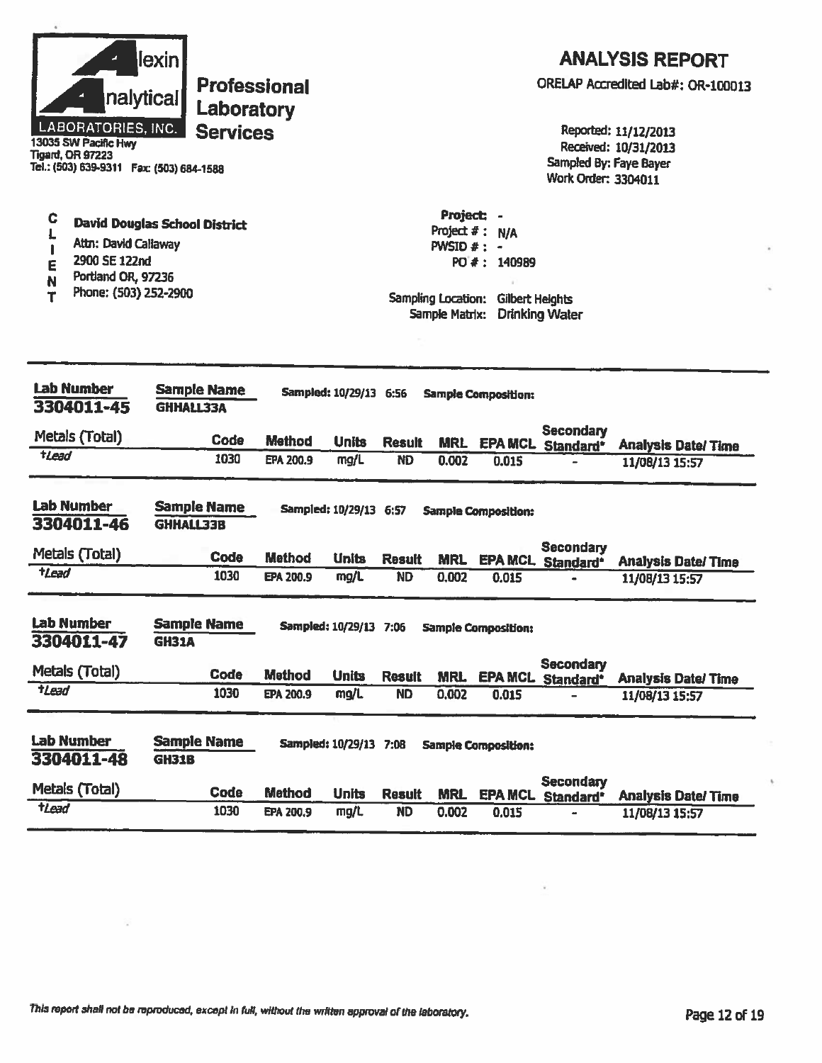|                  | nalytical<br>LABORATORIES, INC.<br>13035 SW Pacific Hwy<br><b>Tigard, OR 97223</b><br>Tel.: (503) 639-9311  Fax: (503) 684-1588 | <u>lexin</u><br><b>Professional</b><br>Laboratory<br><b>Services</b> |                            |                        |                                                                |                                                          |                            | Sampled By: Faye Bayer<br>Work Order: 3304011 | <b>ANALYSIS REPORT</b><br>ORELAP Accredited Lab#: OR-100013<br>Reported: 11/12/2013<br>Received: 10/31/2013 |
|------------------|---------------------------------------------------------------------------------------------------------------------------------|----------------------------------------------------------------------|----------------------------|------------------------|----------------------------------------------------------------|----------------------------------------------------------|----------------------------|-----------------------------------------------|-------------------------------------------------------------------------------------------------------------|
| C<br>E<br>N<br>т | <b>David Douglas School District</b><br>Attn: David Callaway<br>2900 SE 122nd<br>Portland OR, 97236<br>Phone: (503) 252-2900    |                                                                      |                            |                        | Project: -<br>PWSID #:<br>Sampling Location:<br>Sample Matrix: | Project #: N/A<br>PO #: 140989<br><b>Gilbert Heights</b> | <b>Drinking Water</b>      |                                               |                                                                                                             |
|                  | <b>Lab Number</b><br>3304011-45                                                                                                 | <b>Sample Name</b><br>GHHALL33A                                      |                            | Sampled: 10/29/13 6:56 |                                                                |                                                          | <b>Sample Composition:</b> |                                               |                                                                                                             |
|                  | Metals (Total)                                                                                                                  | Code                                                                 |                            |                        |                                                                |                                                          |                            | <b>Secondary</b>                              |                                                                                                             |
| $t$ <i>Lead</i>  |                                                                                                                                 | 1030                                                                 | <b>Method</b><br>EPA 200.9 | <b>Units</b><br>mg/L   | <b>Result</b><br><b>ND</b>                                     | <b>MRL</b><br>0.002                                      | 0.015                      | EPA MCL Standard*                             | <b>Analysis Date/Time</b><br>11/08/13 15:57                                                                 |
|                  | <b>Lab Number</b><br>3304011-46                                                                                                 | <b>Sample Name</b><br><b>GHHALL33B</b>                               |                            | Sampled: 10/29/13 6:57 |                                                                |                                                          | <b>Sample Composition:</b> |                                               |                                                                                                             |
|                  | Metals (Total)                                                                                                                  | Code                                                                 | <b>Method</b>              | <b>Units</b>           | <b>Result</b>                                                  | <b>MRL</b>                                               |                            | <b>Secondary</b><br><b>EPA MCL Standard*</b>  | <b>Analysis Date/Time</b>                                                                                   |
| tLead            |                                                                                                                                 | 1030                                                                 | EPA 200.9                  | mg/L                   | <b>ND</b>                                                      | 0.002                                                    | 0.015                      |                                               | 11/08/13 15:57                                                                                              |
|                  | Lab Number<br>3304011-47                                                                                                        | <b>Sample Name</b><br><b>GH31A</b>                                   |                            | Sampled: 10/29/13 7:06 |                                                                |                                                          | Sampie Composition:        |                                               |                                                                                                             |
|                  | Metals (Total)                                                                                                                  | Code                                                                 | <b>Method</b>              | <b>Units</b>           | <b>Result</b>                                                  | MRL.                                                     |                            | <b>Secondary</b><br>EPA MCL Standard*         | <b>Analysis Date/Time</b>                                                                                   |
| tLead            |                                                                                                                                 | 1030                                                                 | <b>EPA 200.9</b>           | mg/L                   | <b>ND</b>                                                      | 0.002                                                    | 0.015                      |                                               | 11/08/13 15:57                                                                                              |
|                  | <b>Lab Number</b><br>3304011-48                                                                                                 | <b>Sample Name</b><br><b>GH31B</b>                                   |                            | Sampled: 10/29/13 7:08 |                                                                |                                                          | <b>Sample Composition:</b> | <b>Secondary</b>                              |                                                                                                             |
|                  | Metals (Total)                                                                                                                  | Code                                                                 | <b>Method</b>              | <b>Units</b>           | <b>Result</b>                                                  | <b>MRL</b>                                               |                            | EPA MCL Standard*                             | <b>Analysis Date/Time</b>                                                                                   |
| tLead            |                                                                                                                                 | 1030                                                                 | EPA 200.9                  | mg/L                   | <b>ND</b>                                                      | 0.002                                                    | 0.015                      |                                               | 11/08/13 15:57                                                                                              |

V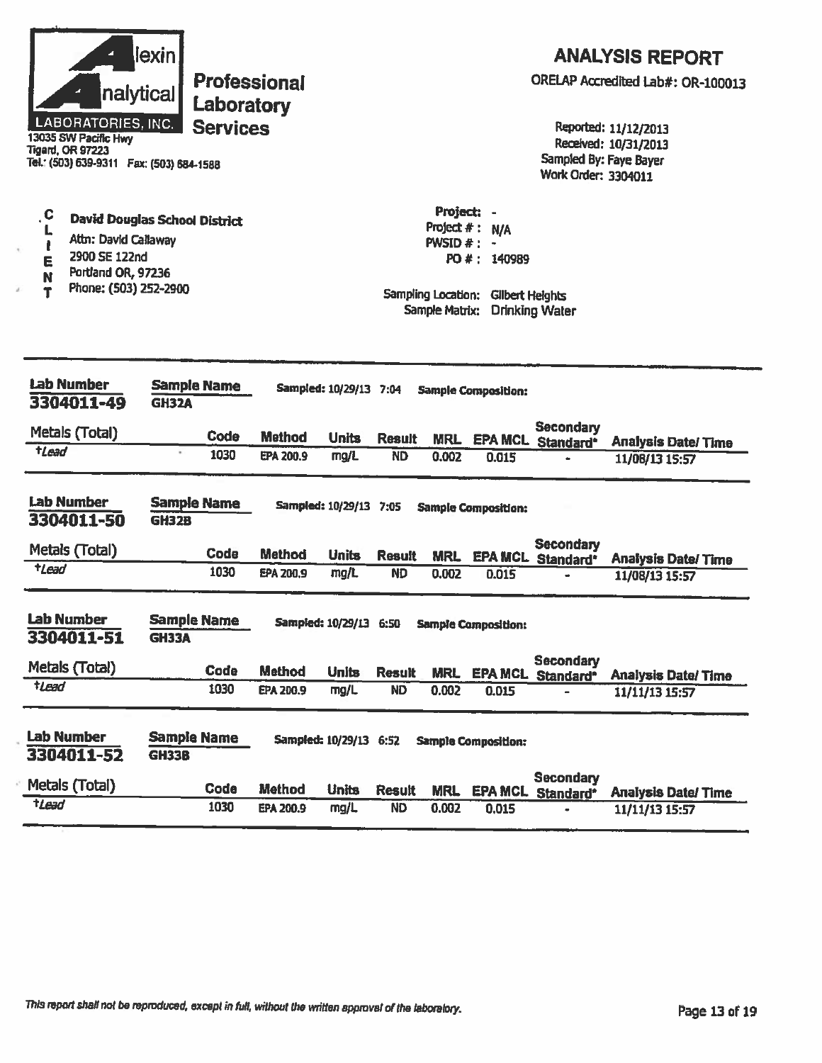| <b>lexin</b><br>nalytical<br>LABORATORIES, INC.<br>13035 SW Pacific Hwy<br>Tigard, OR 97223<br>Tel.: (503) 639-9311  Fax: (503) 684-1588                           | <b>Professional</b><br>Laboratory<br><b>Services</b> |                  |                        |               |                             |                                                                                                       | Sampled By: Faye Bayer<br><b>Work Order: 3304011</b> | <b>ANALYSIS REPORT</b><br>ORELAP Accredited Lab#: OR-100013<br>Reported: 11/12/2013<br>Received: 10/31/2013 |
|--------------------------------------------------------------------------------------------------------------------------------------------------------------------|------------------------------------------------------|------------------|------------------------|---------------|-----------------------------|-------------------------------------------------------------------------------------------------------|------------------------------------------------------|-------------------------------------------------------------------------------------------------------------|
| $\cdot$ C<br><b>David Douglas School District</b><br>L<br>Attn: David Callaway<br>t<br>2900 SE 122nd<br>E<br>Portland OR, 97236<br>N<br>Phone: (503) 252-2900<br>T |                                                      |                  |                        |               | Project: -<br>PWSID $#$ : - | Project #: N/A<br>PO #: 140989<br>Sampling Location: Gilbert Heights<br>Sample Matrix: Drinking Water |                                                      |                                                                                                             |
| <b>Lab Number</b><br>3304011-49                                                                                                                                    | <b>Sample Name</b><br><b>GH32A</b>                   |                  | Sampled: 10/29/13 7:04 |               |                             | <b>Sample Composition:</b>                                                                            |                                                      |                                                                                                             |
| Metals (Total)                                                                                                                                                     | Code                                                 | <b>Method</b>    | <b>Units</b>           | <b>Result</b> | <b>MRL</b>                  | <b>EPA MCL</b>                                                                                        | <b>Secondary</b>                                     |                                                                                                             |
| $t$ Lead                                                                                                                                                           | 1030                                                 | EPA 200.9        | mg/L                   | <b>ND</b>     | 0.002                       | 0.015                                                                                                 | Standard <sup>*</sup>                                | <b>Analysis Date/Time</b><br>11/08/13 15:57                                                                 |
| <b>Lab Number</b><br>3304011-50                                                                                                                                    | <b>Sample Name</b><br><b>GH32B</b>                   |                  | Sampled: 10/29/13 7:05 |               |                             | <b>Sample Composition:</b>                                                                            |                                                      |                                                                                                             |
| Metals (Total)                                                                                                                                                     | Code                                                 | <b>Method</b>    | <b>Units</b>           | <b>Result</b> |                             |                                                                                                       | <b>Secondary</b><br><b>MRL EPA MCL Standard*</b>     | <b>Analysis Date/Time</b>                                                                                   |
| <b>tLead</b>                                                                                                                                                       | 1030                                                 | EPA 200.9        | mg/L                   | <b>ND</b>     | 0.002                       | 0.015                                                                                                 |                                                      | 11/08/13 15:57                                                                                              |
| Lab Number<br>3304011-51                                                                                                                                           | <b>Sample Name</b><br><b>GH33A</b>                   |                  |                        |               |                             | Sampled: 10/29/13 6:50 Sample Composition:                                                            |                                                      |                                                                                                             |
| Metals (Total)                                                                                                                                                     | <b>Code</b>                                          | <b>Method</b>    | <b>Units</b>           | <b>Result</b> | <b>MRL</b>                  |                                                                                                       | <b>Secondary</b><br><b>EPA MCL Standard*</b>         | <b>Analysis Date/Time</b>                                                                                   |
| $t$ Lead                                                                                                                                                           | 1030                                                 | <b>EPA 200.9</b> | mg/L                   | <b>ND</b>     | 0.002                       | 0.015                                                                                                 |                                                      | 11/11/13 15:57                                                                                              |
| Lab Number<br>3304011-52                                                                                                                                           | <b>Sample Name</b><br><b>GH33B</b>                   |                  | Sampled: 10/29/13 6:52 |               |                             | <b>Sample Composition:</b>                                                                            |                                                      |                                                                                                             |
| Metals (Total)                                                                                                                                                     | <b>Code</b>                                          | <b>Method</b>    | <b>Units</b>           | <b>Result</b> | <b>MRL</b>                  | <b>EPA MCL</b>                                                                                        | <b>Secondary</b><br>Standard*                        | <b>Analysis Date/Time</b>                                                                                   |
| $t$ Lead                                                                                                                                                           | 1030                                                 | <b>EPA 200.9</b> | mg/L                   | <b>ND</b>     | 0.002                       | 0.015                                                                                                 |                                                      | 11/11/13 15:57                                                                                              |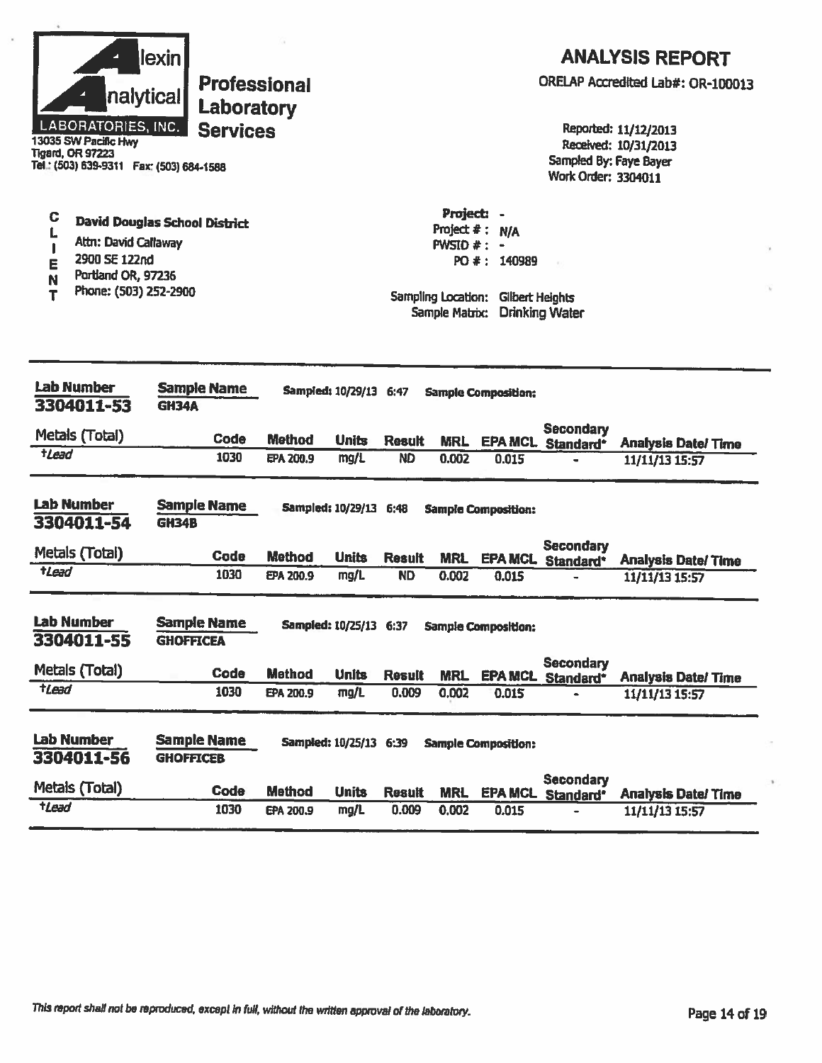| nalytical<br>LABORATORIES, INC.<br>13035 SW Pacific Hwy<br><b>Tigard, OR 97223</b><br>Tel.: (503) 639-9311  Fax: (503) 684-1588 | lexin<br><b>Professional</b><br>Laboratory<br><b>Services</b> |               |                               |               |                                                                                                      |                                                      | Sampled By: Faye Bayer<br>Work Order: 3304011 | <b>ANALYSIS REPORT</b><br>ORELAP Accredited Lab#: OR-100013<br>Reported: 11/12/2013<br>Received: 10/31/2013 |
|---------------------------------------------------------------------------------------------------------------------------------|---------------------------------------------------------------|---------------|-------------------------------|---------------|------------------------------------------------------------------------------------------------------|------------------------------------------------------|-----------------------------------------------|-------------------------------------------------------------------------------------------------------------|
| C<br>Attn: David Callaway<br>2900 SE 122nd<br>E<br>Portland OR, 97236<br>N<br>Phone: (503) 252-2900<br>Т                        | <b>David Douglas School District</b>                          |               |                               |               | Project: -<br>Project $#:$<br><b>PWSID #: <math>-</math></b><br>Sampling Location:<br>Sample Matrix: | <b>N/A</b><br>PO #: 140989<br><b>Gilbert Heights</b> | <b>Drinking Water</b>                         |                                                                                                             |
| <b>Lab Number</b><br>3304011-53                                                                                                 | <b>Sample Name</b><br><b>GH34A</b>                            |               | Sampled: 10/29/13 6:47        |               |                                                                                                      | <b>Sample Composition:</b>                           |                                               |                                                                                                             |
| Metals (Total)                                                                                                                  | Code                                                          | <b>Method</b> | <b>Units</b>                  | <b>Result</b> |                                                                                                      |                                                      | <b>Secondary</b>                              |                                                                                                             |
| $t$ Lead                                                                                                                        | 1030                                                          | EPA 200.9     | mg/L                          | <b>ND</b>     | <b>MRL</b><br>0.002                                                                                  | <b>EPA MCL</b><br>0.015                              | Standard*                                     | <b>Analysis Date/Time</b><br>11/11/13 15:57                                                                 |
| <b>Lab Number</b><br>3304011-54                                                                                                 | <b>Sample Name</b><br>GH34B                                   |               | <b>Sampled: 10/29/13 6:48</b> |               |                                                                                                      | <b>Sample Composition:</b>                           |                                               |                                                                                                             |
| Metals (Total)                                                                                                                  | Code                                                          | <b>Method</b> | <b>Units</b>                  | <b>Result</b> | <b>MRL</b>                                                                                           |                                                      | <b>Secondary</b><br>EPA MCL Standard*         | <b>Analysis Date/Time</b>                                                                                   |
| tLead                                                                                                                           | 1030                                                          | EPA 200.9     | mg/L                          | <b>ND</b>     | 0.002                                                                                                | 0.015                                                |                                               | 11/11/13 15:57                                                                                              |
| <b>Lab Number</b><br>3304011-55                                                                                                 | <b>Sample Name</b><br><b>GHOFFICEA</b>                        |               | Sampled: 10/25/13 6:37        |               |                                                                                                      | <b>Sample Composition:</b>                           |                                               |                                                                                                             |
| Metals (Total)                                                                                                                  | <b>Code</b>                                                   | <b>Method</b> | <b>Units</b>                  | Result        | <b>MRL</b>                                                                                           | <b>EPA MCL</b>                                       | <b>Secondary</b><br>Standard*                 | <b>Analysis Date/Time</b>                                                                                   |
| tLead                                                                                                                           | 1030                                                          | EPA 200.9     | mg/L                          | 0.009         | 0.002                                                                                                | 0.015                                                |                                               | 11/11/13 15:57                                                                                              |
| <b>Lab Number</b><br>3304011-56                                                                                                 | <b>Sample Name</b><br><b>GHOFFICEB</b>                        |               | Sampled: 10/25/13 6:39        |               |                                                                                                      | <b>Sample Composition:</b>                           | <b>Secondary</b>                              |                                                                                                             |
| Metals (Total)                                                                                                                  | Code                                                          | <b>Method</b> | <b>Units</b>                  | <b>Result</b> | <b>MRL</b>                                                                                           |                                                      | <b>EPA MCL Standard*</b>                      | <b>Analysis Date/Time</b>                                                                                   |
| tLead                                                                                                                           | 1030                                                          | EPA 200.9     | mg/L                          | 0.009         | 0.002                                                                                                | 0.015                                                |                                               | 11/11/13 15:57                                                                                              |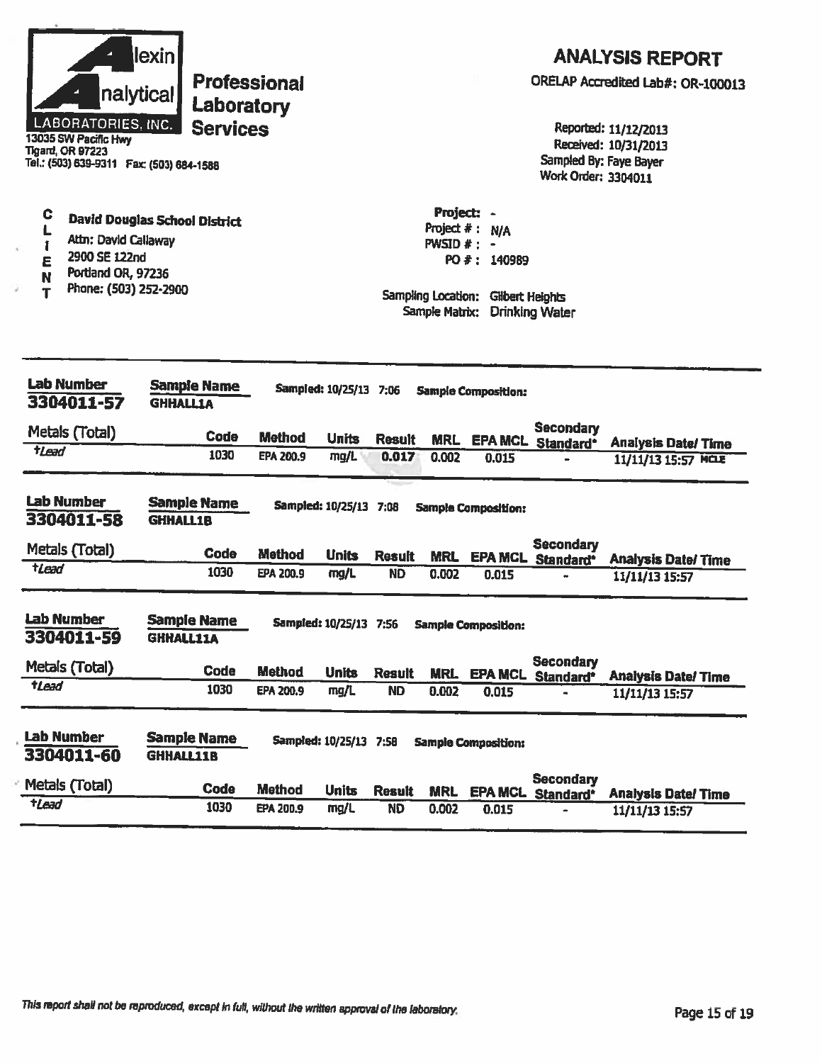|                                                                                                                                                            | nalytical<br>LABORATORIES, INC.<br>13035 SW Pacific Hwy<br><b>Tigard, OR 97223</b><br>Tel.: (503) 639-9311  Fax: (503) 684-1588 | lexin            | <b>Professional</b><br>Laboratory<br><b>Services</b> |                  |                        |               |                                                                     |                                                                     | Sampled By: Faye Bayer<br>Work Order: 3304011 | <b>ANALYSIS REPORT</b><br>ORELAP Accredited Lab#: OR-100013<br>Reported: 11/12/2013<br>Received: 10/31/2013 |
|------------------------------------------------------------------------------------------------------------------------------------------------------------|---------------------------------------------------------------------------------------------------------------------------------|------------------|------------------------------------------------------|------------------|------------------------|---------------|---------------------------------------------------------------------|---------------------------------------------------------------------|-----------------------------------------------|-------------------------------------------------------------------------------------------------------------|
| C<br><b>David Douglas School District</b><br>L<br>Attn: David Callaway<br>î<br>2900 SE 122nd<br>E<br>Portland OR, 97236<br>Ñ<br>Phone: (503) 252-2900<br>т |                                                                                                                                 |                  |                                                      |                  |                        |               | Project: -<br>$PWSID$ $*$ :<br>Sampling Location:<br>Sample Matrix: | Project #: N/A<br>$\blacksquare$<br>PO #: 140989<br>Gilbert Heights | <b>Drinking Water</b>                         |                                                                                                             |
|                                                                                                                                                            | <b>Lab Number</b><br>3304011-57                                                                                                 | <b>GHHALLIA</b>  | <b>Sample Name</b>                                   |                  | Sampled: 10/25/13 7:06 |               |                                                                     | <b>Sample Composition:</b>                                          |                                               |                                                                                                             |
|                                                                                                                                                            | Metals (Total)                                                                                                                  |                  | <b>Code</b>                                          | <b>Method</b>    | <b>Units</b>           | <b>Result</b> | <b>MRL</b>                                                          |                                                                     | <b>Secondary</b><br>EPA MCL Standard*         |                                                                                                             |
| $t$ Lead                                                                                                                                                   |                                                                                                                                 |                  | 1030                                                 | <b>EPA 200.9</b> | mg/L                   | 0.017         | 0.002                                                               | 0.015                                                               |                                               | <b>Analysis Date/Time</b><br>11/11/13 15:57 MCLE                                                            |
|                                                                                                                                                            | <b>Lab Number</b><br>3304011-58                                                                                                 | <b>GHHALL1B</b>  | <b>Sample Name</b>                                   |                  | Sampled: 10/25/13 7:08 |               |                                                                     | <b>Sample Composition:</b>                                          |                                               |                                                                                                             |
|                                                                                                                                                            | Metals (Total)                                                                                                                  |                  | Code                                                 | <b>Method</b>    | <b>Units</b>           | <b>Result</b> | <b>MRL</b>                                                          |                                                                     | <b>Secondary</b><br><b>EPA MCL Standard*</b>  | <b>Analysis Date/Time</b>                                                                                   |
| $t$ <i>Lead</i>                                                                                                                                            |                                                                                                                                 |                  | 1030                                                 | EPA 200.9        | mg/L                   | <b>ND</b>     | 0.002                                                               | 0.015                                                               |                                               | 11/11/13 15:57                                                                                              |
|                                                                                                                                                            | <b>Lab Number</b><br>3304011-59                                                                                                 | <b>GHHALL11A</b> | <b>Sample Name</b>                                   |                  | Sampled: 10/25/13 7:56 |               |                                                                     | <b>Sample Composition:</b>                                          |                                               |                                                                                                             |
|                                                                                                                                                            | Metals (Total)                                                                                                                  |                  | Code                                                 | <b>Method</b>    | <b>Units</b>           | <b>Result</b> | <b>MRL</b>                                                          | <b>EPA MCL</b>                                                      | <b>Secondary</b><br>Standard*                 | <b>Analysis Date/ Time</b>                                                                                  |
| tLead                                                                                                                                                      |                                                                                                                                 |                  | 1030                                                 | <b>EPA 200.9</b> | mg/L                   | <b>ND</b>     | 0.002                                                               | 0.015                                                               |                                               | 11/11/13 15:57                                                                                              |
|                                                                                                                                                            | <b>Lab Number</b><br>3304011-60                                                                                                 | <b>GHHALL11B</b> | <b>Sample Name</b>                                   |                  | Sampled: 10/25/13 7:58 |               |                                                                     | <b>Sample Composition:</b>                                          | <b>Secondary</b>                              |                                                                                                             |
|                                                                                                                                                            | Metals (Total)                                                                                                                  |                  | <b>Code</b>                                          | <b>Method</b>    | <b>Units</b>           | <b>Result</b> | <b>MRL</b>                                                          |                                                                     | EPA MCL Standard*                             | <b>Analysis Date/Time</b>                                                                                   |
| $t$ <i>Lead</i>                                                                                                                                            |                                                                                                                                 |                  | 1030                                                 | EPA 200.9        | mg/L                   | <b>ND</b>     | 0.002                                                               | 0.015                                                               |                                               | 11/11/13 15:57                                                                                              |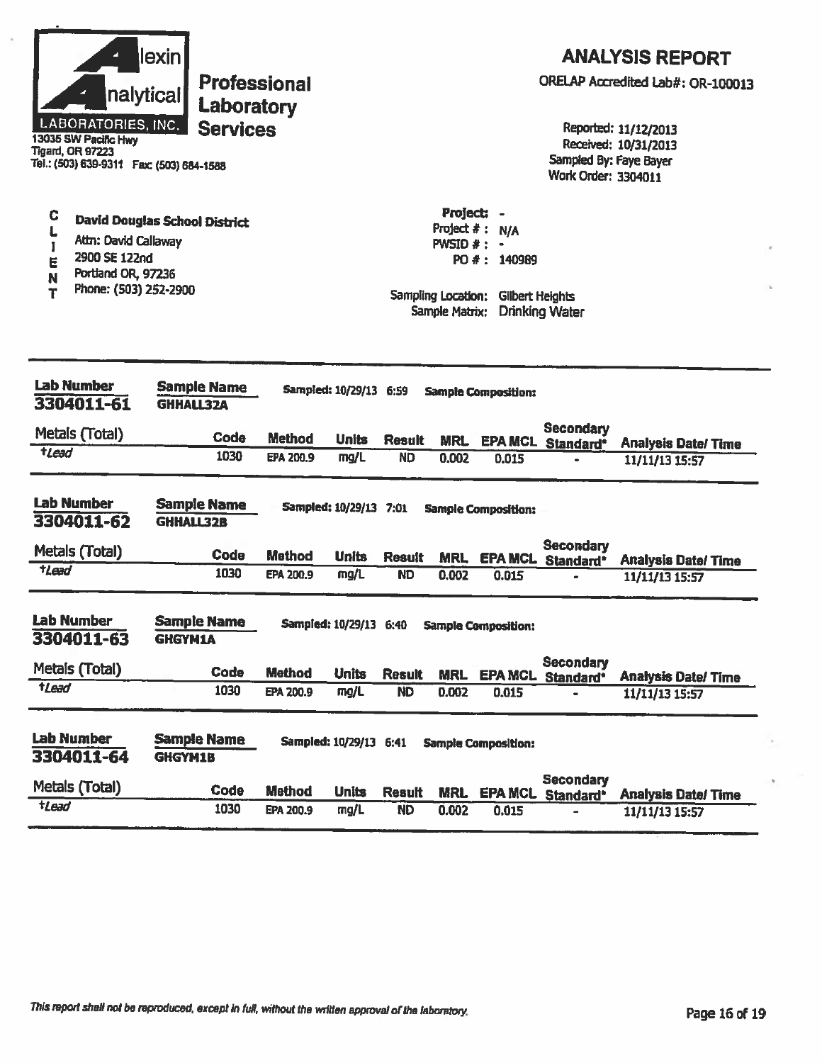| nalytical<br><b>LABORATORIES, INC.</b><br>13035 SW Pacific Hwy<br><b>Tigard, OR 97223</b><br>Tel.: (503) 639-9311  Fax: (503) 684-1588           | lexin<br><b>Professional</b><br>Laboratory<br><b>Services</b> |                  |                                 |                                                                                   |                                                      |                            | Sampled By: Faye Bayer<br>Work Order: 3304011 | <b>ANALYSIS REPORT</b><br>ORELAP Accredited Lab#: OR-100013<br>Reported: 11/12/2013<br>Received: 10/31/2013 |
|--------------------------------------------------------------------------------------------------------------------------------------------------|---------------------------------------------------------------|------------------|---------------------------------|-----------------------------------------------------------------------------------|------------------------------------------------------|----------------------------|-----------------------------------------------|-------------------------------------------------------------------------------------------------------------|
| С<br><b>David Douglas School District</b><br>Attn: David Callaway<br>2900 SE 122nd<br>E<br>Portland OR, 97236<br>N<br>Phone: (503) 252-2900<br>Τ |                                                               |                  |                                 | Project: -<br>Project #:<br>$PWSID$ $*$ :<br>Sampling Location:<br>Sample Matrix: | <b>N/A</b><br>PO #: 140989<br><b>Gilbert Heights</b> | <b>Drinking Water</b>      |                                               |                                                                                                             |
| <b>Lab Number</b><br>3304011-61                                                                                                                  | <b>Sample Name</b><br><b>GHHALL32A</b>                        |                  | <b>Sampled: 10/29/13 6:59</b>   |                                                                                   |                                                      | <b>Sample Composition:</b> |                                               |                                                                                                             |
| Metals (Total)                                                                                                                                   | Code                                                          | <b>Method</b>    | <b>Units</b>                    |                                                                                   |                                                      |                            | <b>Secondary</b>                              |                                                                                                             |
| tLead                                                                                                                                            | 1030                                                          | <b>EPA 200.9</b> | mg/L                            | <b>Result</b><br><b>ND</b>                                                        | <b>MRL</b><br>0.002                                  | 0.015                      | <b>EPA MCL Standard*</b>                      | <b>Analysis Date/Time</b><br>11/11/13 15:57                                                                 |
| <b>Lab Number</b><br>3304011-62                                                                                                                  | <b>Sample Name</b><br><b>GHHALL32B</b>                        |                  | Sampled: 10/29/13 7:01          |                                                                                   |                                                      | <b>Sample Composition:</b> |                                               |                                                                                                             |
| Metals (Total)                                                                                                                                   | <b>Code</b>                                                   | <b>Method</b>    | <b>Units</b>                    | <b>Result</b>                                                                     | <b>MRL</b>                                           | <b>EPA MCL</b>             | <b>Secondary</b><br>Standard*                 | <b>Analysis Date/ Time</b>                                                                                  |
| $t$ <i>Lead</i>                                                                                                                                  | 1030                                                          | EPA 200.9        | mg/L                            | <b>ND</b>                                                                         | 0.002                                                | 0.015                      | ÷                                             | 11/11/13 15:57                                                                                              |
| <b>Lab Number</b><br>3304011-63<br>Metals (Total)<br>tLead                                                                                       | <b>Sample Name</b><br><b>GHGYM1A</b><br>Code                  | <b>Method</b>    | Sampled: 10/29/13 6:40<br>Units | <b>Result</b>                                                                     | <b>MRL</b>                                           | <b>Sample Composition:</b> | <b>Secondary</b><br>EPA MCL Standard*         | <b>Analysis Date/Time</b>                                                                                   |
|                                                                                                                                                  | 1030                                                          | EPA 200.9        | mg/L                            | <b>ND</b>                                                                         | 0.002                                                | 0.015                      |                                               | 11/11/13 15:57                                                                                              |
| <b>Lab Number</b><br>3304011-64                                                                                                                  | <b>Sample Name</b><br>GHGYM1B                                 |                  | Sampled: 10/29/13 6:41          |                                                                                   |                                                      | <b>Sample Composition:</b> | <b>Secondary</b>                              |                                                                                                             |
| Metals (Total)                                                                                                                                   | Code                                                          | <b>Method</b>    | <b>Units</b>                    | <b>Result</b>                                                                     | <b>MRL</b>                                           |                            | <b>EPA MCL Standard*</b>                      | <b>Analysis Date/ Time</b>                                                                                  |
| $t$ <i>Lead</i>                                                                                                                                  | 1030                                                          | <b>EPA 200.9</b> | mg/L                            | <b>ND</b>                                                                         | 0.002                                                | 0.015                      |                                               | 11/11/13 15:57                                                                                              |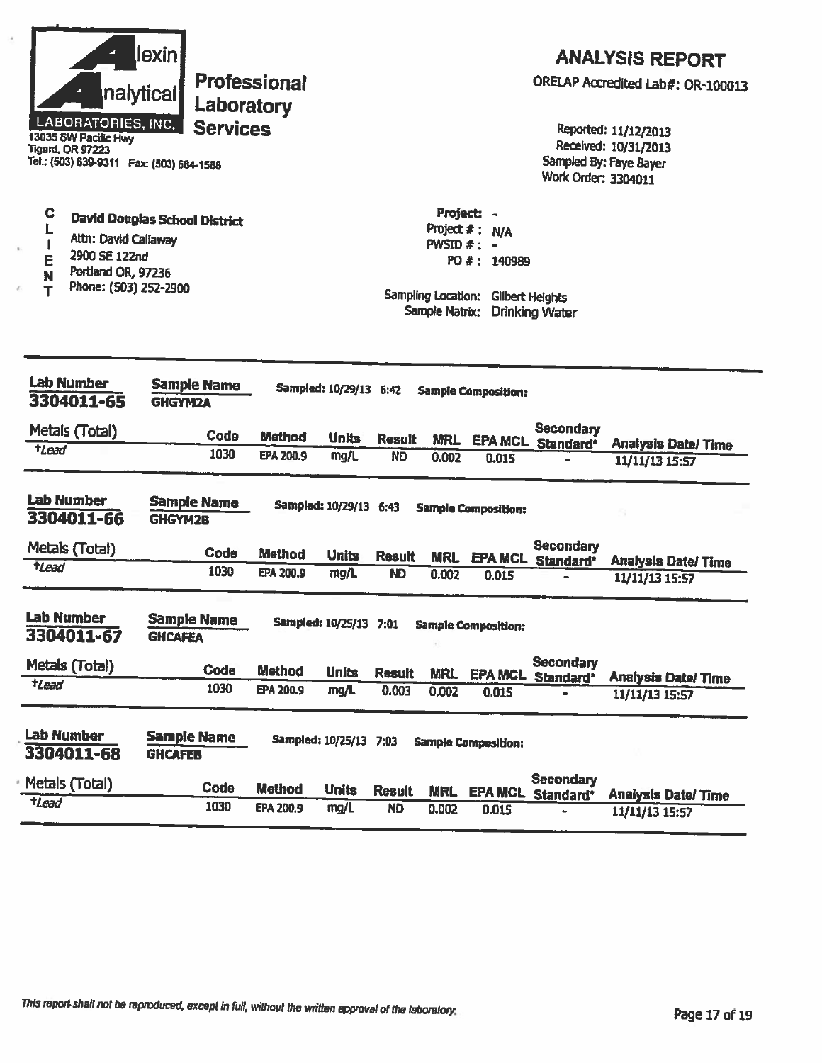| LABORATORIES, INC.<br>13035 SW Pacific Hwy<br><b>Tigard, OR 97223</b><br>Tel.: (503) 639-9311  Fax: (503) 684-1588                                    | lexin <br>nalytical<br>Laboratory<br><b>Services</b> | <b>Professional</b> |                        |                                                       |                                                                         |                            | Work Order: 3304011                       | <b>ANALYSIS REPORT</b><br>ORELAP Accredited Lab#: OR-100013<br>Reported: 11/12/2013<br>Received: 10/31/2013<br>Sampled By: Faye Bayer |
|-------------------------------------------------------------------------------------------------------------------------------------------------------|------------------------------------------------------|---------------------|------------------------|-------------------------------------------------------|-------------------------------------------------------------------------|----------------------------|-------------------------------------------|---------------------------------------------------------------------------------------------------------------------------------------|
| C<br><b>David Douglas School District</b><br>L<br>Altn: David Callaway<br>2900 SE 122nd<br>Е<br>Portland OR, 97236<br>N<br>Phone: (503) 252-2900<br>т |                                                      |                     |                        | PWSID $#$ : -<br>Sampling Location:<br>Sample Matrix: | Project: -<br>Project # : N/A<br>PO #: 140989<br><b>Gilbert Heights</b> | <b>Drinking Water</b>      |                                           |                                                                                                                                       |
| <b>Lab Number</b><br>3304011-65                                                                                                                       | <b>Sample Name</b><br><b>GHGYM2A</b>                 |                     | Sampled: 10/29/13 6:42 |                                                       |                                                                         | <b>Sample Composition:</b> |                                           |                                                                                                                                       |
| Metals (Total)                                                                                                                                        | Code                                                 | <b>Method</b>       | <b>Units</b>           | <b>Result</b>                                         | <b>MRL</b>                                                              |                            | <b>Secondary</b>                          |                                                                                                                                       |
| <i><b>tlead</b></i>                                                                                                                                   | 1030                                                 | <b>EPA 200.9</b>    | mg/L                   | <b>ND</b>                                             | 0.002                                                                   | 0.015                      | <b>EPA MCL Standard*</b>                  | <b>Analysis Date/Time</b><br>11/11/13 15:57                                                                                           |
| <b>Lab Number</b><br>3304011-66                                                                                                                       | <b>Sample Name</b><br><b>GHGYM2B</b>                 |                     | Sampled: 10/29/13 6:43 |                                                       |                                                                         | <b>Sample Composition:</b> |                                           |                                                                                                                                       |
| Metals (Total)                                                                                                                                        | Code                                                 | <b>Method</b>       | <b>Units</b>           | <b>Result</b>                                         |                                                                         |                            | <b>Secondary</b><br>MRL EPA MCL Standard* | <b>Analysis Date/ Time</b>                                                                                                            |
| $t$ Lead                                                                                                                                              | 1030                                                 | EPA 200.9           | mg/L                   | <b>ND</b>                                             | 0.002                                                                   | 0.015                      |                                           | 11/11/13 15:57                                                                                                                        |
| <b>Lab Number</b><br>3304011-67                                                                                                                       | <b>Sample Name</b><br><b>GHCAFEA</b>                 |                     | Sampled: 10/25/13 7:01 |                                                       |                                                                         | <b>Sample Composition:</b> |                                           |                                                                                                                                       |
| Metals (Total)                                                                                                                                        | Code                                                 | <b>Method</b>       | <b>Units</b>           | <b>Result</b>                                         | <b>MRL</b>                                                              |                            | <b>Secondary</b><br>EPA MCL Standard*     | <b>Analysis Date/Time</b>                                                                                                             |
| $t$ Lead                                                                                                                                              | 1030                                                 | EPA 200.9           | mg/L                   | 0.003                                                 | 0.002                                                                   | 0.015                      |                                           | 11/11/13 15:57                                                                                                                        |
| Lab Number<br>3304011-68                                                                                                                              | <b>Sample Name</b><br><b>GHCAFEB</b>                 |                     | Sampled: 10/25/13 7:03 |                                                       |                                                                         | <b>Sample Composition:</b> |                                           |                                                                                                                                       |
| Metals (Total)<br>tLead                                                                                                                               | Code                                                 | <b>Method</b>       | <b>Units</b>           | <b>Result</b>                                         | <b>MRL</b>                                                              | <b>EPA MCL</b>             | <b>Secondary</b><br>Standard*             | <b>Analysis Date/Time</b>                                                                                                             |
|                                                                                                                                                       | 1030                                                 | <b>EPA 200.9</b>    | mg/L                   | <b>ND</b>                                             | 0.002                                                                   | 0.015                      |                                           | 11/11/13 15:57                                                                                                                        |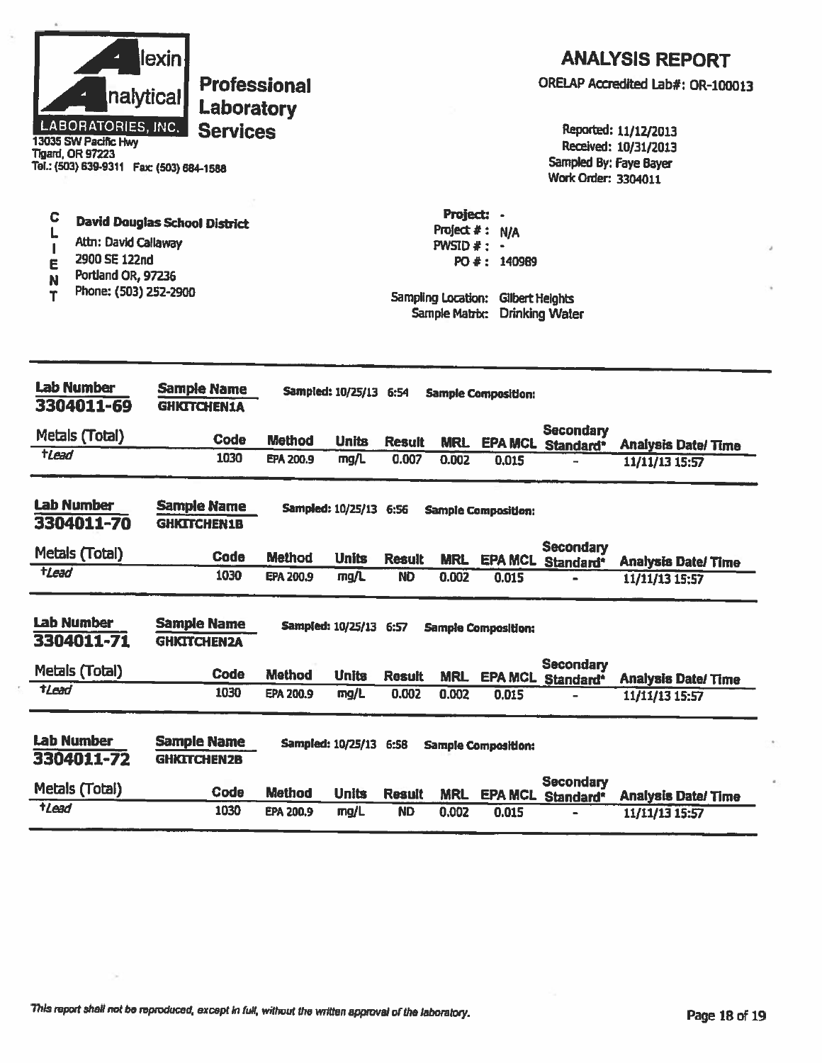| nalytical<br><b>LABORATORIES, INC.</b><br>13035 SW Pacific Hwy<br><b>Tigard, OR 97223</b><br>Tel.: (503) 639-9311  Fax: (503) 684-1588           | lexin<br><b>Professional</b><br>Laboratory<br><b>Services</b> |                  |                        |                                                                                   |                                               |                            | Sampled By: Faye Bayer<br><b>Work Order: 3304011</b> | <b>ANALYSIS REPORT</b><br>ORELAP Accredited Lab#: OR-100013<br>Reported: 11/12/2013<br>Received: 10/31/2013 |
|--------------------------------------------------------------------------------------------------------------------------------------------------|---------------------------------------------------------------|------------------|------------------------|-----------------------------------------------------------------------------------|-----------------------------------------------|----------------------------|------------------------------------------------------|-------------------------------------------------------------------------------------------------------------|
| C<br><b>David Douglas School District</b><br>Attn: David Callaway<br>2900 SE 122nd<br>E<br>Portland OR, 97236<br>N<br>Phone: (503) 252-2900<br>т |                                                               |                  |                        | Project: -<br>Project $#:$<br>$PWSID$ # :<br>Sampling Location:<br>Sample Matrix: | <b>N/A</b><br>PO #: 140989<br>Gilbert Heights | <b>Drinking Water</b>      |                                                      |                                                                                                             |
| <b>Lab Number</b><br>3304011-69                                                                                                                  | <b>Sample Name</b><br><b>GHICTCHEN1A</b>                      |                  | Sampled: 10/25/13 6:54 |                                                                                   |                                               | <b>Sample Composition:</b> |                                                      |                                                                                                             |
| Metals (Total)                                                                                                                                   | <b>Code</b>                                                   | <b>Method</b>    | <b>Units</b>           | <b>Result</b>                                                                     | <b>MRL</b>                                    |                            | <b>Secondary</b><br><b>EPA MCL Standard*</b>         | <b>Analysis Date/Time</b>                                                                                   |
| tlead                                                                                                                                            | 1030                                                          | EPA 200.9        | mg/L                   | 0.007                                                                             | 0.002                                         | 0.015                      |                                                      | 11/11/13 15:57                                                                                              |
| <b>Lab Number</b><br>3304011-70                                                                                                                  | <b>Sample Name</b><br><b>GHKITCHEN1B</b>                      |                  | Sampled: 10/25/13 6:56 |                                                                                   |                                               | <b>Sample Composition:</b> |                                                      |                                                                                                             |
| Metals (Total)                                                                                                                                   | <b>Code</b>                                                   | <b>Method</b>    | <b>Units</b>           | <b>Result</b>                                                                     | <b>MRL</b>                                    |                            | <b>Secondary</b><br><b>EPA MCL Standard*</b>         | <b>Analysis Date/Time</b>                                                                                   |
| <b>tLead</b>                                                                                                                                     | 1030                                                          | <b>EPA 200.9</b> | mg/L                   | <b>ND</b>                                                                         | 0.002                                         | 0.015                      |                                                      | 11/11/13 15:57                                                                                              |
| <b>Lab Number</b><br>3304011-71                                                                                                                  | <b>Sample Name</b><br><b>GHICTCHEN2A</b>                      |                  | Sampled: 10/25/13 6:57 |                                                                                   |                                               | <b>Sample Composition:</b> |                                                      |                                                                                                             |
| Metals (Total)                                                                                                                                   | <b>Code</b>                                                   | <b>Method</b>    | <b>Units</b>           | <b>Result</b>                                                                     | <b>MRL</b>                                    |                            | <b>Secondary</b><br><b>EPA MCL Standard*</b>         | <b>Analysis Date/Time</b>                                                                                   |
| <b>tLead</b>                                                                                                                                     | 1030                                                          | EPA 200.9        | mg/L                   | 0.002                                                                             | 0.002                                         | 0.015                      |                                                      | 11/11/13 15:57                                                                                              |
| <b>Lab Number</b><br>3304011-72                                                                                                                  | <b>Sample Name</b><br><b>GHKITCHEN2B</b>                      |                  | Sampled: 10/25/13 6:58 |                                                                                   |                                               | <b>Sample Composition:</b> | Secondary                                            |                                                                                                             |
| Metals (Total)                                                                                                                                   | Code                                                          | <b>Method</b>    | <b>Units</b>           | <b>Result</b>                                                                     | <b>MRL</b>                                    |                            | <b>EPA MCL Standard*</b>                             | <b>Analysis Date/Time</b>                                                                                   |
| t <sub>Lead</sub>                                                                                                                                | 1030                                                          | <b>EPA 200.9</b> | mg/L                   | <b>ND</b>                                                                         | 0.002                                         | 0.015                      |                                                      | 11/11/13 15:57                                                                                              |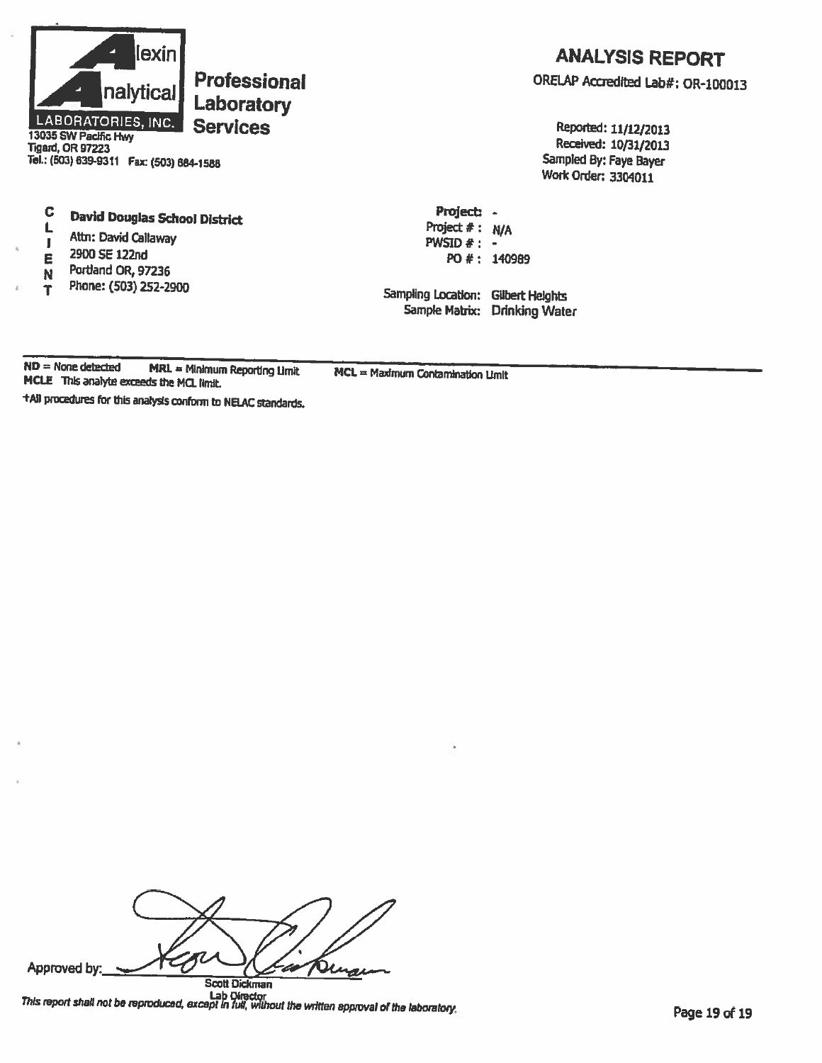

# **Tigard, OR 97223** Tel.: (503) 639-9311 Fax: (503) 684-1588

#### $\mathbf C$ **David Douglas School District**

- L Attn: David Callaway  $\mathbf{I}$
- 2900 SE 122nd E
- Portland OR, 97236 N
- Phone: (503) 252-2900 Ť

# **ANALYSIS REPORT**

ORELAP Accredited Lab#: OR-100013

Reported: 11/12/2013 Received: 10/31/2013 Sampled By: Faye Bayer **Work Order: 3304011** 

PO #: 140989 Sampling Location: Gilbert Heights Sample Matrix: Drinking Water

Project: -

Project  $# : N/A$ 

PWSID  $#$  : -

 $ND = None detected$ MRL = Minimum Reporting Limit  $MCL = Maximum$  Contamination Limit MCLE This analyte exceeds the MCL limit.

+All procedures for this analysis conform to NELAC standards.

Approved by: רז  $\overline{\phantom{a}}$ z **Scott Dickman** 

Lab Director<br>This report shall not be reproduced, except in full, without the written approval of the laboratory.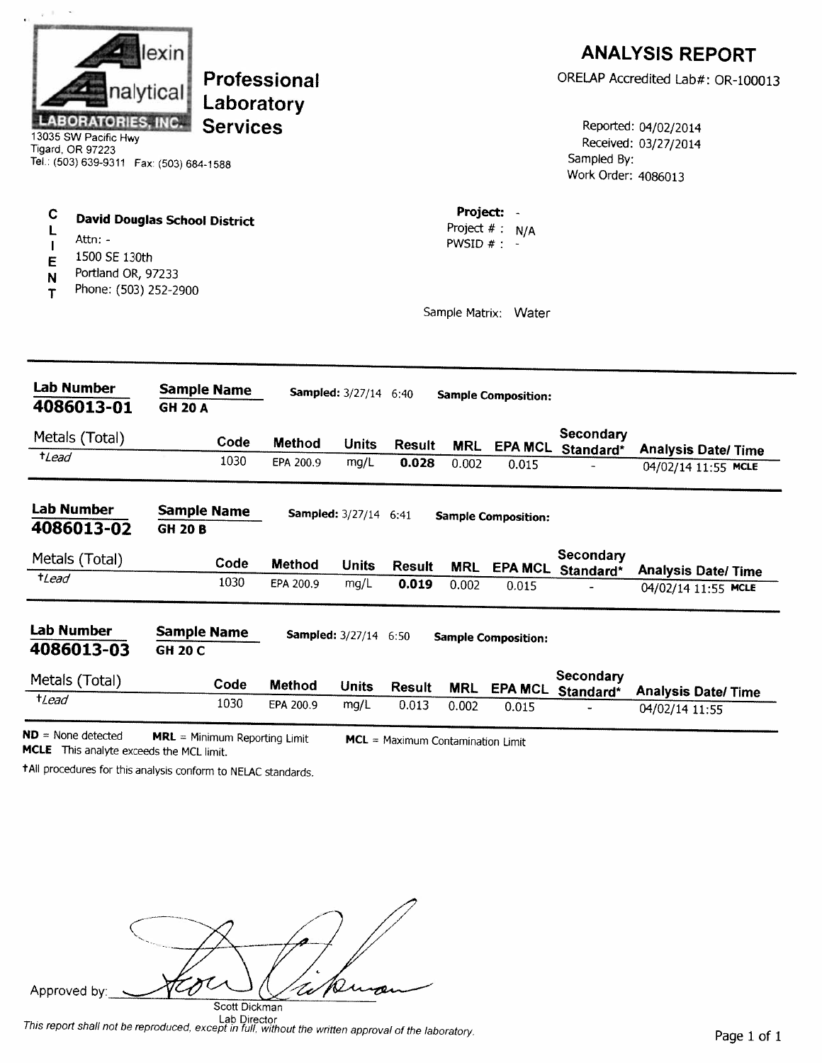|                                                                                                                    | lexin                                |                     |                              | <b>ANALYSIS REPORT</b>            |                         |                            |                                    |                                              |
|--------------------------------------------------------------------------------------------------------------------|--------------------------------------|---------------------|------------------------------|-----------------------------------|-------------------------|----------------------------|------------------------------------|----------------------------------------------|
|                                                                                                                    | nalytical<br>Laboratory              | Professional        |                              |                                   |                         |                            |                                    | ORELAP Accredited Lab#: OR-100013            |
| <b>LABORATORIES, INC.</b><br>13035 SW Pacific Hwy<br>Tigard, OR 97223<br>Tel.: (503) 639-9311  Fax: (503) 684-1588 | <b>Services</b>                      |                     |                              |                                   |                         |                            | Sampled By:<br>Work Order: 4086013 | Reported: 04/02/2014<br>Received: 03/27/2014 |
| C<br>L<br>Attn: $-$<br>1500 SE 130th<br>Е<br>Portland OR, 97233<br>N                                               | <b>David Douglas School District</b> |                     |                              |                                   | Project:<br>PWSID $# :$ | Project $# : N/A$          |                                    |                                              |
| Phone: (503) 252-2900<br>т                                                                                         |                                      |                     |                              |                                   |                         | Sample Matrix: Water       |                                    |                                              |
| <b>Lab Number</b><br>4086013-01                                                                                    | <b>Sample Name</b><br><b>GH 20 A</b> |                     | <b>Sampled:</b> 3/27/14 6:40 |                                   |                         | <b>Sample Composition:</b> |                                    |                                              |
| Metals (Total)                                                                                                     | Code                                 | Method              | <b>Units</b>                 | <b>Result</b>                     | <b>MRL</b>              |                            | Secondary<br>EPA MCL Standard*     | <b>Analysis Date/Time</b>                    |
| $t$ Lead                                                                                                           | 1030                                 | EPA 200.9           | mg/L                         | 0.028                             | 0.002                   | 0.015                      |                                    | 04/02/14 11:55 MCLE                          |
| <b>Lab Number</b><br>4086013-02                                                                                    | <b>Sample Name</b><br><b>GH 20 B</b> |                     | <b>Sampled:</b> 3/27/14 6:41 |                                   |                         | <b>Sample Composition:</b> |                                    |                                              |
| Metals (Total)                                                                                                     | Code                                 | <b>Method</b>       | <b>Units</b>                 | <b>Result</b>                     | <b>MRL</b>              |                            | Secondary<br>EPA MCL Standard*     | <b>Analysis Date/Time</b>                    |
| $t$ Lead                                                                                                           | 1030                                 | EPA 200.9           | mg/L                         | 0.019                             | 0.002                   | 0.015                      |                                    | 04/02/14 11:55 MCLE                          |
| Lab Number<br>4086013-03                                                                                           | <b>Sample Name</b><br><b>GH 20 C</b> |                     | <b>Sampled:</b> 3/27/14 6:50 |                                   |                         | <b>Sample Composition:</b> |                                    |                                              |
| Metals (Total)                                                                                                     | Code                                 |                     |                              |                                   |                         |                            | Secondary                          |                                              |
| $t$ Lead                                                                                                           | 1030                                 | Method<br>EPA 200.9 | <b>Units</b><br>mg/L         | <b>Result</b><br>0.013            | <b>MRL</b><br>0.002     | <b>EPA MCL</b><br>0.015    | Standard*<br>u.                    | <b>Analysis Date/Time</b><br>04/02/14 11:55  |
| $ND = None detected$                                                                                               | $MRL = Minimum Reporting Limit$      |                     |                              | MCL = Maximum Contamination Limit |                         |                            |                                    |                                              |

MCLE This analyte exceeds the MCL limit.

+All procedures for this analysis conform to NELAC standards.

tcoc D Approved by: W œ

Scott Dickman<br>This report shall not be reproduced, except in full, without the written approval of the laboratory.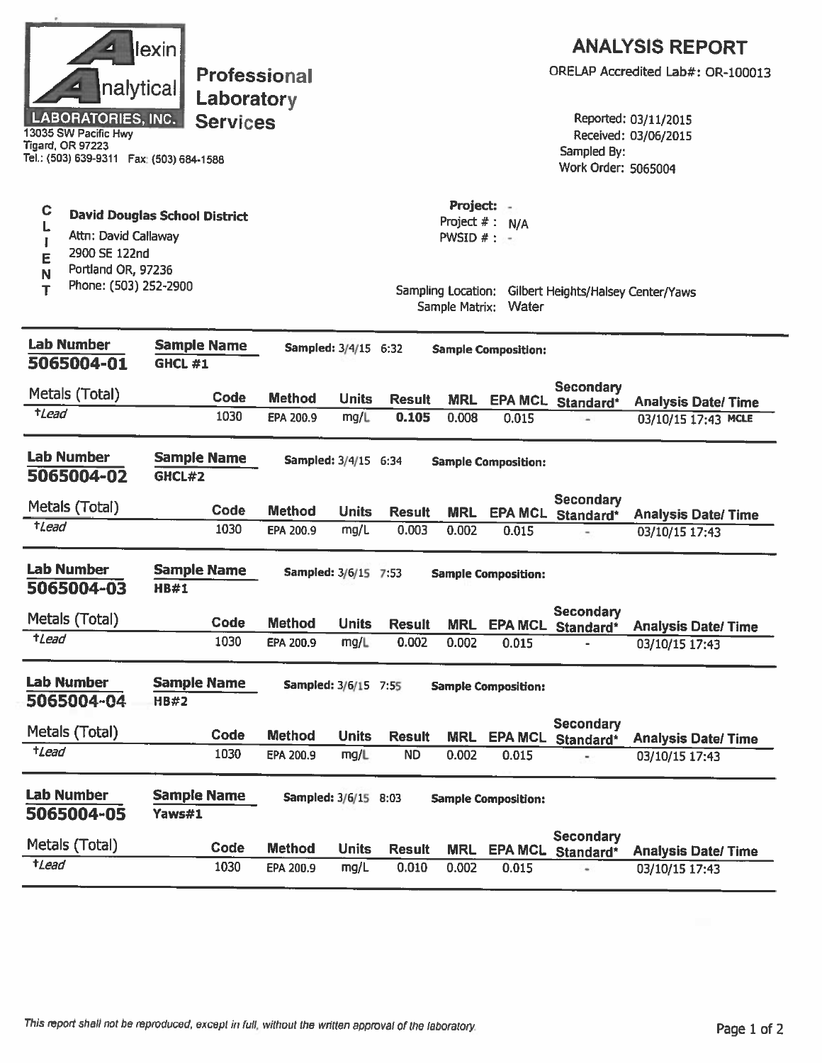| nalytical<br><b>LABORATORIES, INC.</b><br>13035 SW Pacific Hwy<br>Tigard, OR 97223<br>Tel.: (503) 639-9311  Fax: (503) 684-1588 | lexin<br><b>Professional</b><br>Laboratory<br><b>Services</b> |                             |              |                        |                                             |                            | Sampled By:<br>Work Order: 5065004                    | <b>ANALYSIS REPORT</b><br>ORELAP Accredited Lab#: OR-100013<br>Reported: 03/11/2015<br>Received: 03/06/2015 |
|---------------------------------------------------------------------------------------------------------------------------------|---------------------------------------------------------------|-----------------------------|--------------|------------------------|---------------------------------------------|----------------------------|-------------------------------------------------------|-------------------------------------------------------------------------------------------------------------|
| C<br>L<br>Attn: David Callaway<br>I<br>2900 SE 122nd<br>E<br>Portland OR, 97236<br>N                                            | <b>David Douglas School District</b>                          |                             |              |                        | Project:<br>Project $#:$<br>PWSID $#$ : $-$ | N/A                        |                                                       |                                                                                                             |
| Phone: (503) 252-2900<br>т                                                                                                      |                                                               |                             |              |                        | Sample Matrix:                              | Water                      | Sampling Location: Gilbert Heights/Halsey Center/Yaws |                                                                                                             |
| <b>Lab Number</b><br>5065004-01                                                                                                 | <b>Sample Name</b><br><b>GHCL #1</b>                          | Sampled: 3/4/15 6:32        |              |                        |                                             | <b>Sample Composition:</b> |                                                       |                                                                                                             |
| Metals (Total)                                                                                                                  | Code                                                          | <b>Method</b>               | <b>Units</b> |                        |                                             |                            | <b>Secondary</b>                                      |                                                                                                             |
| <i>tLead</i>                                                                                                                    | 1030                                                          | EPA 200.9                   | mg/L         | <b>Result</b><br>0.105 | <b>MRL</b><br>0.008                         | 0.015                      | EPA MCL Standard*                                     | <b>Analysis Date/Time</b><br>03/10/15 17:43 MCLE                                                            |
| <b>Lab Number</b><br>5065004-02                                                                                                 | <b>Sample Name</b><br>GHCL#2                                  | Sampled: 3/4/15 6:34        |              |                        |                                             | <b>Sample Composition:</b> |                                                       |                                                                                                             |
| Metals (Total)                                                                                                                  | Code                                                          | <b>Method</b>               | <b>Units</b> | <b>Result</b>          | MRL                                         |                            | <b>Secondary</b><br>EPA MCL Standard*                 | <b>Analysis Date/Time</b>                                                                                   |
| tLead                                                                                                                           | 1030                                                          | EPA 200.9                   | mg/L         | 0.003                  | 0.002                                       | 0.015                      |                                                       | 03/10/15 17:43                                                                                              |
| <b>Lab Number</b><br>5065004-03                                                                                                 | <b>Sample Name</b><br><b>HB#1</b>                             | Sampled: 3/6/15 7:53        |              |                        |                                             | <b>Sample Composition:</b> |                                                       |                                                                                                             |
| Metals (Total)                                                                                                                  | Code                                                          | <b>Method</b>               | <b>Units</b> | <b>Result</b>          | <b>MRL</b>                                  | <b>EPA MCL</b>             | <b>Secondary</b>                                      |                                                                                                             |
| $t$ <i>Lead</i>                                                                                                                 | 1030                                                          | EPA 200.9                   | mg/L         | 0.002                  | 0.002                                       | 0.015                      | Standard*                                             | <b>Analysis Date/Time</b><br>03/10/15 17:43                                                                 |
| <b>Lab Number</b><br>5065004-04                                                                                                 | <b>Sample Name</b><br><b>HB#2</b>                             | <b>Sampled: 3/6/15 7:55</b> |              |                        |                                             | <b>Sample Composition:</b> |                                                       |                                                                                                             |
| Metals (Total)                                                                                                                  | Code                                                          | <b>Method</b>               | <b>Units</b> | <b>Result</b>          | <b>MRL</b>                                  | <b>EPA MCL</b>             | <b>Secondary</b>                                      |                                                                                                             |
| $t$ <i>Lead</i>                                                                                                                 | 1030                                                          | EPA 200.9                   | mg/L         | <b>ND</b>              | 0.002                                       | 0.015                      | Standard*                                             | <b>Analysis Date/ Time</b><br>03/10/15 17:43                                                                |
| <b>Lab Number</b><br>5065004-05                                                                                                 | <b>Sample Name</b><br>Yaws#1                                  | Sampled: 3/6/15 8:03        |              |                        |                                             | <b>Sample Composition:</b> |                                                       |                                                                                                             |
| Metals (Total)                                                                                                                  | Code                                                          | <b>Method</b>               | <b>Units</b> | <b>Result</b>          | <b>MRL</b>                                  | <b>EPA MCL</b>             | <b>Secondary</b><br>Standard*                         | <b>Analysis Date/Time</b>                                                                                   |
| $t$ Lead                                                                                                                        | 1030                                                          | EPA 200.9                   | mg/L         | 0.010                  | 0.002                                       | 0.015                      |                                                       | 03/10/15 17:43                                                                                              |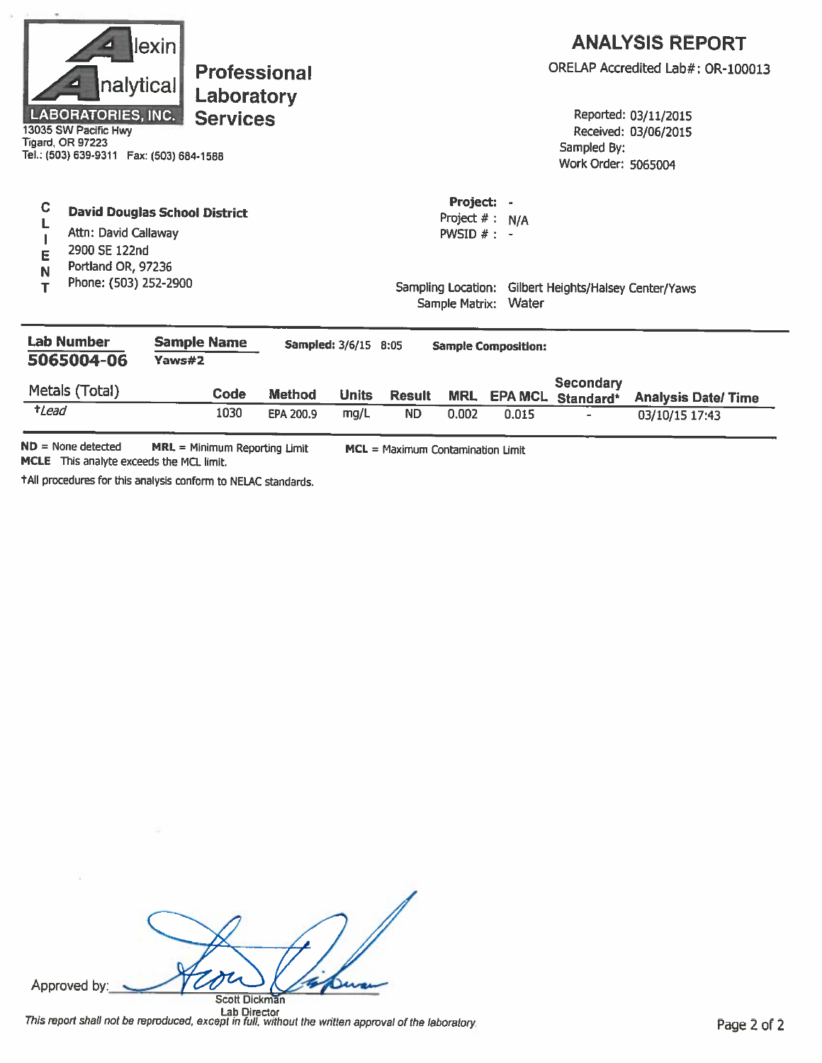|                                                       | nalytical<br><b>LABORATORIES, INC.</b><br>13035 SW Pacific Hwy<br><b>Tigard, OR 97223</b><br>Tel.: (503) 639-9311  Fax: (503) 684-1588 | lexin<br><b>Professional</b><br>Laboratory<br><b>Services</b> |                                   |                      |               |                                                                      |                            | Sampled By:<br>Work Order: 5065004 | <b>ANALYSIS REPORT</b><br>ORELAP Accredited Lab#: OR-100013<br>Reported: 03/11/2015<br>Received: 03/06/2015 |
|-------------------------------------------------------|----------------------------------------------------------------------------------------------------------------------------------------|---------------------------------------------------------------|-----------------------------------|----------------------|---------------|----------------------------------------------------------------------|----------------------------|------------------------------------|-------------------------------------------------------------------------------------------------------------|
| $\mathbf C$<br>E<br>N<br>т                            | Attn: David Callaway<br>2900 SE 122nd<br>Portland OR, 97236<br>Phone: (503) 252-2900                                                   | <b>David Douglas School District</b>                          |                                   |                      |               | Project:<br>Project $# : N/A$<br>PWSID $#$ : -<br>Sampling Location: | ä,<br>Sample Matrix: Water | Gilbert Heights/Halsey Center/Yaws |                                                                                                             |
| <b>Lab Number</b><br>5065004-06                       |                                                                                                                                        | <b>Sample Name</b><br>Yaws#2                                  |                                   | Sampled: 3/6/15 8:05 |               |                                                                      | <b>Sample Composition:</b> |                                    |                                                                                                             |
|                                                       | Metals (Total)                                                                                                                         | <b>Code</b>                                                   | Method                            | <b>Units</b>         | <b>Result</b> | <b>MRL</b>                                                           | <b>EPA MCL</b>             | Secondary<br>Standard*             | <b>Analysis Date/Time</b>                                                                                   |
| $t$ Lead                                              |                                                                                                                                        | 1030                                                          | EPA 200.9                         | mg/L                 | <b>ND</b>     | 0.002                                                                | 0.015                      |                                    | 03/10/15 17:43                                                                                              |
| $ND = None detected$<br>MRL = Minimum Reporting Limit |                                                                                                                                        |                                                               | MCL = Maximum Contamination Limit |                      |               |                                                                      |                            |                                    |                                                                                                             |

MCLE This analyte exceeds the MCL limit.

+All procedures for this analysis conform to NELAC standards.

ton Approved by: n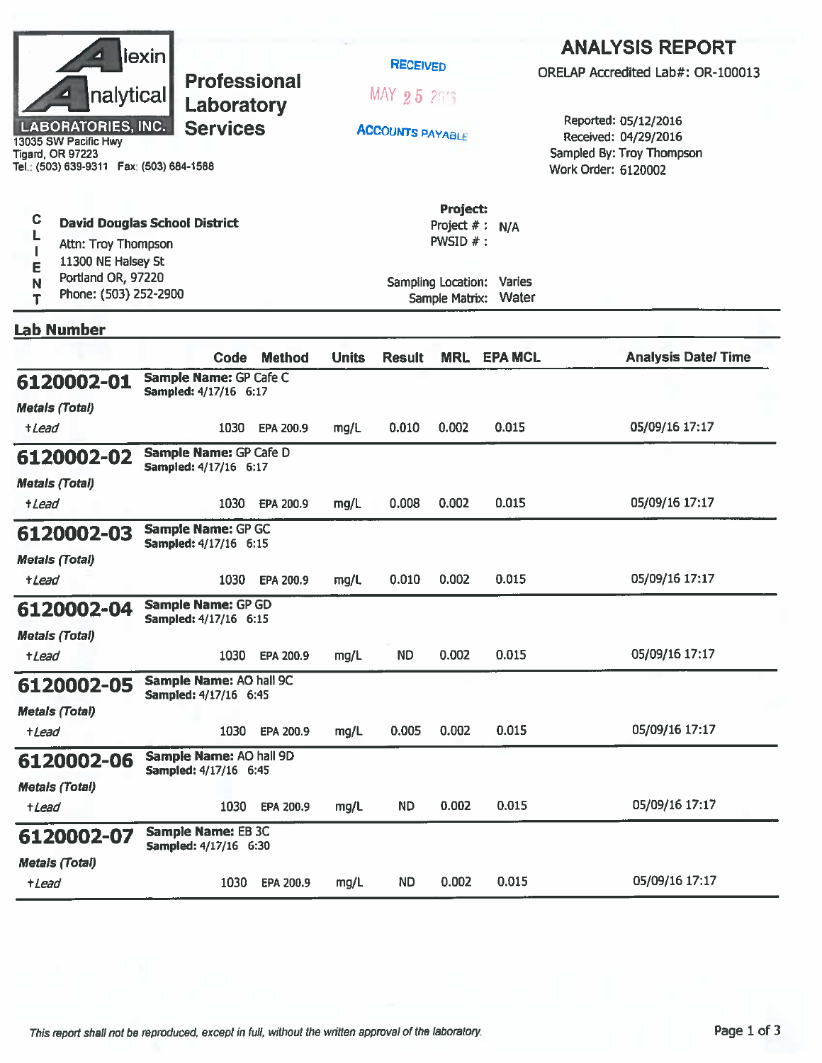|                                                                                                                                                      | lexin <br><b>Professional</b><br>nalytical<br>Laboratory<br><b>LABORATORIES, INC.</b><br><b>Services</b><br>13035 SW Pacific Hwy<br><b>Tigard, OR 97223</b><br>Tel.: (503) 639-9311    Fax: (503) 684-1588 |                                                         |               |              | <b>RECEIVED</b><br>MAX 25 215<br><b>ACCOUNTS PAYABLE</b> |                                                                             |                                           | <b>ANALYSIS REPORT</b><br>ORELAP Accredited Lab#: OR-100013<br>Reported: 05/12/2016<br>Received: 04/29/2016<br>Sampled By: Troy Thompson<br>Work Order: 6120002 |  |  |
|------------------------------------------------------------------------------------------------------------------------------------------------------|------------------------------------------------------------------------------------------------------------------------------------------------------------------------------------------------------------|---------------------------------------------------------|---------------|--------------|----------------------------------------------------------|-----------------------------------------------------------------------------|-------------------------------------------|-----------------------------------------------------------------------------------------------------------------------------------------------------------------|--|--|
| C<br><b>David Douglas School District</b><br>Attn: Troy Thompson<br>11300 NE Halsey St<br>Е<br>Portland OR, 97220<br>N<br>Phone: (503) 252-2900<br>Т |                                                                                                                                                                                                            |                                                         |               |              |                                                          | Project:<br>Project $#$ :<br><b>PWSID <math>#</math>:</b><br>Sample Matrix: | N/A<br>Sampling Location: Varies<br>Water |                                                                                                                                                                 |  |  |
| <b>Lab Number</b>                                                                                                                                    |                                                                                                                                                                                                            |                                                         |               |              |                                                          |                                                                             |                                           |                                                                                                                                                                 |  |  |
|                                                                                                                                                      |                                                                                                                                                                                                            | Code                                                    | <b>Method</b> | <b>Units</b> | <b>Result</b>                                            | <b>MRL</b>                                                                  | <b>EPA MCL</b>                            | <b>Analysis Date/Time</b>                                                                                                                                       |  |  |
| 6120002-01<br><b>Metals (Total)</b>                                                                                                                  |                                                                                                                                                                                                            | Sample Name: GP Cafe C<br>Sampled: 4/17/16 6:17         |               |              |                                                          |                                                                             |                                           |                                                                                                                                                                 |  |  |
| +Lead                                                                                                                                                |                                                                                                                                                                                                            | 1030                                                    | EPA 200.9     | mg/L         | 0.010                                                    | 0.002                                                                       | 0.015                                     | 05/09/16 17:17                                                                                                                                                  |  |  |
| 6120002-02<br><b>Metals (Total)</b><br><i><b>+Lead</b></i>                                                                                           |                                                                                                                                                                                                            | Sample Name: GP Cafe D<br>Sampled: 4/17/16 6:17<br>1030 | EPA 200.9     | mg/L         | 0.008                                                    | 0.002                                                                       | 0.015                                     | 05/09/16 17:17                                                                                                                                                  |  |  |
| 6120002-03<br><b>Metals (Total)</b>                                                                                                                  |                                                                                                                                                                                                            | Sample Name: GP GC<br>Sampled: 4/17/16 6:15             |               |              |                                                          |                                                                             |                                           |                                                                                                                                                                 |  |  |
| +Lead                                                                                                                                                |                                                                                                                                                                                                            | 1030                                                    | EPA 200.9     | mg/L         | 0.010                                                    | 0.002                                                                       | 0.015                                     | 05/09/16 17:17                                                                                                                                                  |  |  |
| 6120002-04<br><b>Metals (Total)</b>                                                                                                                  |                                                                                                                                                                                                            | <b>Sample Name: GP GD</b><br>Sampled: 4/17/16 6:15      |               |              |                                                          |                                                                             |                                           |                                                                                                                                                                 |  |  |
| +Lead                                                                                                                                                |                                                                                                                                                                                                            | 1030                                                    | EPA 200.9     | mg/L         | <b>ND</b>                                                | 0.002                                                                       | 0.015                                     | 05/09/16 17:17                                                                                                                                                  |  |  |
| 6120002-05                                                                                                                                           |                                                                                                                                                                                                            | Sample Name: AO hall 9C<br>Sampled: 4/17/16 6:45        |               |              |                                                          |                                                                             |                                           |                                                                                                                                                                 |  |  |
| <b>Metals (Total)</b><br>+Lead                                                                                                                       |                                                                                                                                                                                                            | 1030                                                    | EPA 200.9     | mg/L         | 0.005                                                    | 0.002                                                                       | 0.015                                     | 05/09/16 17:17                                                                                                                                                  |  |  |
| 6120002-06<br><b>Metals (Total)</b>                                                                                                                  |                                                                                                                                                                                                            | Sample Name: AO hall 9D<br>Sampled: 4/17/16 6:45        |               |              |                                                          |                                                                             |                                           |                                                                                                                                                                 |  |  |
| $t$ <i>Lead</i>                                                                                                                                      |                                                                                                                                                                                                            | 1030                                                    | EPA 200.9     | mg/L         | <b>ND</b>                                                | 0.002                                                                       | 0.015                                     | 05/09/16 17:17                                                                                                                                                  |  |  |
| 6120002-07                                                                                                                                           |                                                                                                                                                                                                            | <b>Sample Name: EB 3C</b><br>Sampled: 4/17/16 6:30      |               |              |                                                          |                                                                             |                                           |                                                                                                                                                                 |  |  |
| <b>Metals (Total)</b><br>+Lead                                                                                                                       |                                                                                                                                                                                                            | 1030                                                    | EPA 200.9     | mg/L         | <b>ND</b>                                                | 0.002                                                                       | 0.015                                     | 05/09/16 17:17                                                                                                                                                  |  |  |
|                                                                                                                                                      |                                                                                                                                                                                                            |                                                         |               |              |                                                          |                                                                             |                                           |                                                                                                                                                                 |  |  |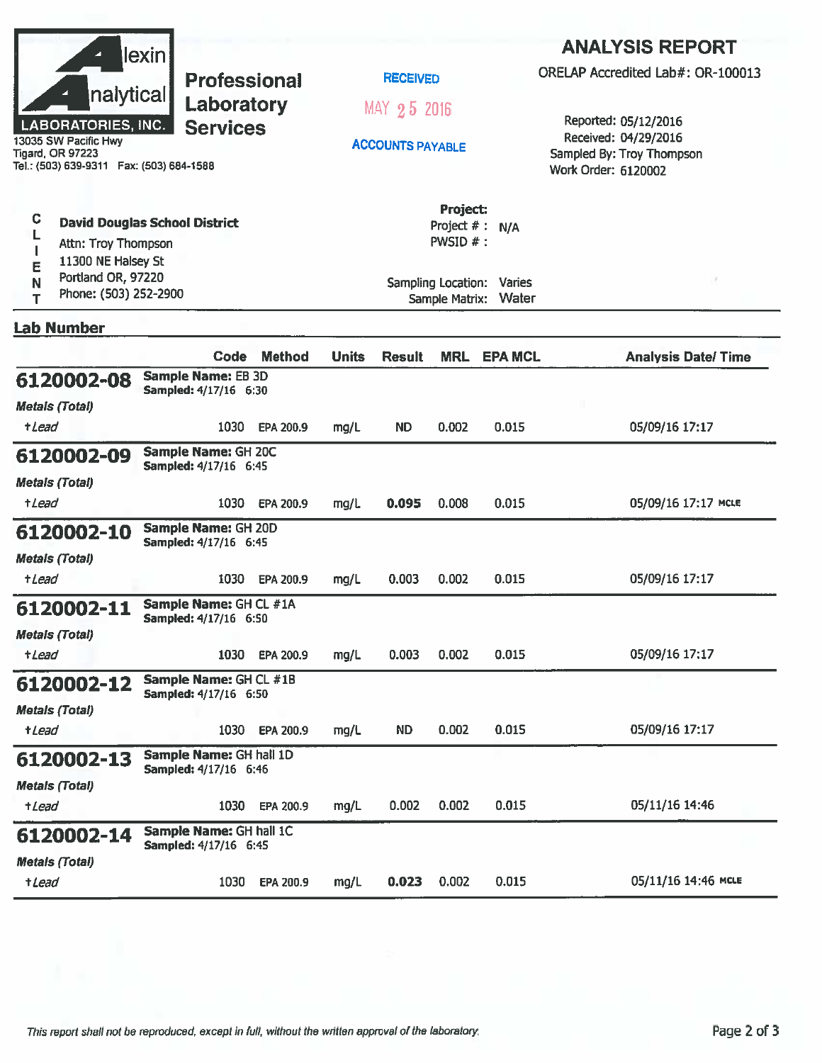|                                                                                              | lexin                                                  |               |              |                         |                                        |                | <b>ANALYSIS REPORT</b>                                                   |  |  |
|----------------------------------------------------------------------------------------------|--------------------------------------------------------|---------------|--------------|-------------------------|----------------------------------------|----------------|--------------------------------------------------------------------------|--|--|
|                                                                                              | <b>Professional</b>                                    |               |              | <b>RECEIVED</b>         |                                        |                | ORELAP Accredited Lab#: OR-100013                                        |  |  |
| nalytical<br><b>LABORATORIES, INC.</b>                                                       | Laboratory<br><b>Services</b>                          |               |              | MAY 25 2016             |                                        |                | Reported: 05/12/2016                                                     |  |  |
| 13035 SW Pacific Hwy<br><b>Tigard, OR 97223</b><br>Tel.: (503) 639-9311  Fax: (503) 684-1588 |                                                        |               |              | <b>ACCOUNTS PAYABLE</b> |                                        |                | Received: 04/29/2016<br>Sampled By: Troy Thompson<br>Work Order: 6120002 |  |  |
| C<br>Attn: Troy Thompson<br>11300 NE Halsey St                                               | <b>David Douglas School District</b>                   |               |              |                         | Project:<br>Project #: N/A<br>PWSID #: |                |                                                                          |  |  |
| E<br>Portland OR, 97220<br>N<br>Phone: (503) 252-2900<br>T                                   |                                                        |               |              | Sample Matrix:          | Sampling Location: Varies<br>Water     |                |                                                                          |  |  |
| <b>Lab Number</b>                                                                            |                                                        |               |              |                         |                                        |                |                                                                          |  |  |
|                                                                                              | Code                                                   | <b>Method</b> | <b>Units</b> | <b>Result</b>           | <b>MRL</b>                             | <b>EPA MCL</b> | <b>Analysis Date/Time</b>                                                |  |  |
| 6120002-08<br><b>Metals (Total)</b>                                                          | <b>Sample Name: EB 3D</b><br>Sampled: 4/17/16 6:30     |               |              |                         |                                        |                |                                                                          |  |  |
| <i><b>+Lead</b></i>                                                                          | 1030                                                   | EPA 200.9     | mg/L         | <b>ND</b>               | 0.002                                  | 0.015          | 05/09/16 17:17                                                           |  |  |
| 6120002-09                                                                                   | Sample Name: GH 20C<br>Sampled: 4/17/16 6:45           |               |              |                         |                                        |                |                                                                          |  |  |
| <b>Metals (Total)</b><br>+ <i>Lead</i>                                                       | 1030                                                   | EPA 200.9     | mg/L         | 0.095                   | 0.008                                  | 0.015          | 05/09/16 17:17 MCLE                                                      |  |  |
| 6120002-10                                                                                   | Sample Name: GH 20D<br>Sampled: 4/17/16 6:45           |               |              |                         |                                        |                |                                                                          |  |  |
| <b>Metals (Total)</b><br>+Lead                                                               | 1030                                                   | EPA 200.9     | mg/L         | 0.003                   | 0.002                                  | 0.015          | 05/09/16 17:17                                                           |  |  |
| 6120002-11                                                                                   | Sample Name: GH CL #1A<br><b>Sampled: 4/17/16 6:50</b> |               |              |                         |                                        |                |                                                                          |  |  |
| <b>Metals (Total)</b><br>+Lead                                                               | 1030                                                   | EPA 200.9     | mg/L         | 0.003                   | 0.002                                  | 0.015          | 05/09/16 17:17                                                           |  |  |
| 6120002-12                                                                                   | Sample Name: GH CL #1B<br>Sampled: 4/17/16 6:50        |               |              |                         |                                        |                |                                                                          |  |  |
| <b>Metals (Total)</b>                                                                        |                                                        |               |              |                         |                                        |                |                                                                          |  |  |
| +Lead                                                                                        | 1030                                                   | EPA 200.9     | mg/L         | ND.                     | 0.002                                  | 0.015          | 05/09/16 17:17                                                           |  |  |
| 6120002-13                                                                                   | Sample Name: GH hall 1D<br>Sampled: 4/17/16 6:46       |               |              |                         |                                        |                |                                                                          |  |  |
| <b>Metals (Total)</b><br>+Lead                                                               | 1030                                                   | EPA 200.9     | mg/L         | 0.002                   | 0.002                                  | 0.015          | 05/11/16 14:46                                                           |  |  |
| 6120002-14                                                                                   | Sample Name: GH hall 1C                                |               |              |                         |                                        |                |                                                                          |  |  |
| <b>Metals (Total)</b>                                                                        | Sampled: 4/17/16 6:45                                  |               |              |                         |                                        |                |                                                                          |  |  |
| +Lead                                                                                        | 1030                                                   | EPA 200.9     | mg/L         | 0.023                   | 0.002                                  | 0.015          | 05/11/16 14:46 MCLE                                                      |  |  |